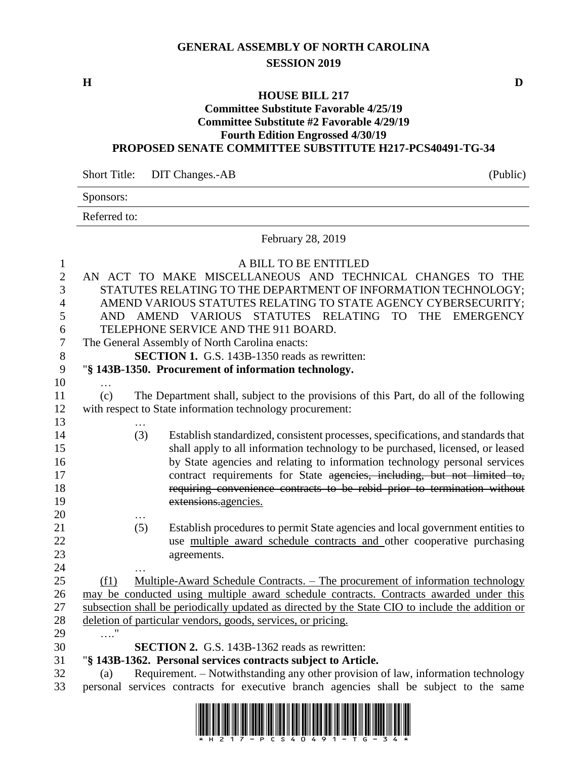## **GENERAL ASSEMBLY OF NORTH CAROLINA SESSION 2019**

**H D**

### **HOUSE BILL 217**

#### **Committee Substitute Favorable 4/25/19 Committee Substitute #2 Favorable 4/29/19 Fourth Edition Engrossed 4/30/19 PROPOSED SENATE COMMITTEE SUBSTITUTE H217-PCS40491-TG-34**

Short Title: DIT Changes.-AB (Public)

|                  | Sponsors:    |                                                                                                  |  |  |  |  |
|------------------|--------------|--------------------------------------------------------------------------------------------------|--|--|--|--|
|                  | Referred to: |                                                                                                  |  |  |  |  |
|                  |              | February 28, 2019                                                                                |  |  |  |  |
| $\mathbf{1}$     |              | A BILL TO BE ENTITLED                                                                            |  |  |  |  |
| $\overline{2}$   |              | AN ACT TO MAKE MISCELLANEOUS AND TECHNICAL CHANGES TO THE                                        |  |  |  |  |
| 3                |              | STATUTES RELATING TO THE DEPARTMENT OF INFORMATION TECHNOLOGY;                                   |  |  |  |  |
| $\overline{4}$   |              | AMEND VARIOUS STATUTES RELATING TO STATE AGENCY CYBERSECURITY;                                   |  |  |  |  |
| $\mathfrak{S}$   |              | AND AMEND VARIOUS STATUTES RELATING TO<br>THE EMERGENCY                                          |  |  |  |  |
| 6                |              | TELEPHONE SERVICE AND THE 911 BOARD.                                                             |  |  |  |  |
| $\boldsymbol{7}$ |              | The General Assembly of North Carolina enacts:                                                   |  |  |  |  |
| 8                |              | SECTION 1. G.S. 143B-1350 reads as rewritten:                                                    |  |  |  |  |
| 9                |              | "§ 143B-1350. Procurement of information technology.                                             |  |  |  |  |
| 10               |              |                                                                                                  |  |  |  |  |
| 11               | (c)          | The Department shall, subject to the provisions of this Part, do all of the following            |  |  |  |  |
| 12               |              | with respect to State information technology procurement:                                        |  |  |  |  |
| 13               |              |                                                                                                  |  |  |  |  |
| 14               |              | (3)<br>Establish standardized, consistent processes, specifications, and standards that          |  |  |  |  |
| 15               |              | shall apply to all information technology to be purchased, licensed, or leased                   |  |  |  |  |
| 16               |              | by State agencies and relating to information technology personal services                       |  |  |  |  |
| 17               |              | contract requirements for State agencies, including, but not limited to,                         |  |  |  |  |
| 18               |              | requiring convenience contracts to be rebid prior to termination without                         |  |  |  |  |
| 19               |              | extensions.agencies.                                                                             |  |  |  |  |
| 20               |              |                                                                                                  |  |  |  |  |
| 21               |              | Establish procedures to permit State agencies and local government entities to<br>(5)            |  |  |  |  |
| 22               |              | use multiple award schedule contracts and other cooperative purchasing                           |  |  |  |  |
| 23               |              | agreements.                                                                                      |  |  |  |  |
| 24               |              |                                                                                                  |  |  |  |  |
| 25               | (f1)         | Multiple-Award Schedule Contracts. – The procurement of information technology                   |  |  |  |  |
| 26               |              | may be conducted using multiple award schedule contracts. Contracts awarded under this           |  |  |  |  |
| 27               |              | subsection shall be periodically updated as directed by the State CIO to include the addition or |  |  |  |  |
| 28               |              | deletion of particular vendors, goods, services, or pricing.                                     |  |  |  |  |
| 29               | $\ldots$ "   |                                                                                                  |  |  |  |  |
| 30               |              | SECTION 2. G.S. 143B-1362 reads as rewritten:                                                    |  |  |  |  |
| 31               |              | "§ 143B-1362. Personal services contracts subject to Article.                                    |  |  |  |  |
| 32               | (a)          | Requirement. - Notwithstanding any other provision of law, information technology                |  |  |  |  |
| 33               |              | personal services contracts for executive branch agencies shall be subject to the same           |  |  |  |  |

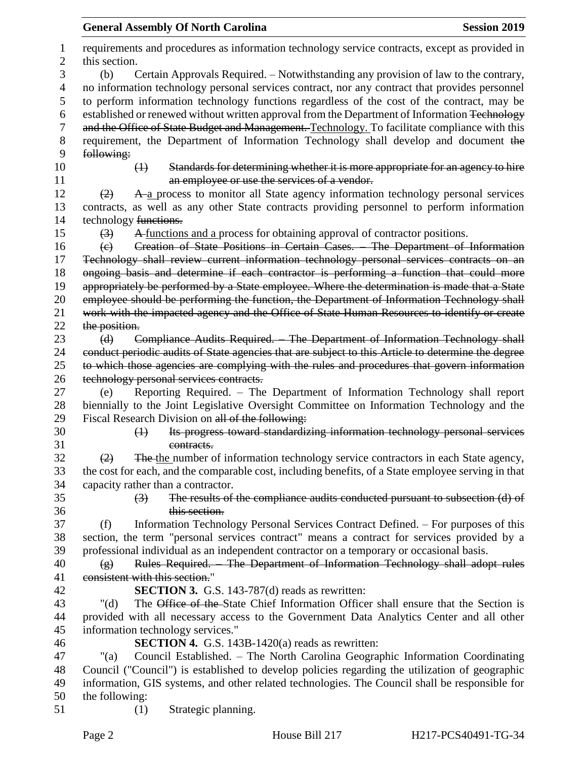|          | <b>General Assembly Of North Carolina</b><br><b>Session 2019</b>                                                              |
|----------|-------------------------------------------------------------------------------------------------------------------------------|
|          | requirements and procedures as information technology service contracts, except as provided in<br>this section.               |
|          | Certain Approvals Required. - Notwithstanding any provision of law to the contrary,<br>(b)                                    |
| 4        | no information technology personal services contract, nor any contract that provides personnel                                |
|          | to perform information technology functions regardless of the cost of the contract, may be                                    |
| 6        | established or renewed without written approval from the Department of Information Technology                                 |
|          | and the Office of State Budget and Management. Technology. To facilitate compliance with this                                 |
| 8        | requirement, the Department of Information Technology shall develop and document the                                          |
|          | following:                                                                                                                    |
| 10       | Standards for determining whether it is more appropriate for an agency to hire<br>$\leftrightarrow$                           |
|          | an employee or use the services of a vendor.                                                                                  |
|          | A a process to monitor all State agency information technology personal services<br>(2)                                       |
|          | contracts, as well as any other State contracts providing personnel to perform information                                    |
|          | technology functions.                                                                                                         |
|          | A functions and a process for obtaining approval of contractor positions.<br>$\leftrightarrow$                                |
| 16       | Creation of State Positions in Certain Cases. The Department of Information<br>$\left(\epsilon\right)$                        |
|          | Technology shall review current information technology personal services contracts on an                                      |
|          | ongoing basis and determine if each contractor is performing a function that could more                                       |
| 19       | appropriately be performed by a State employee. Where the determination is made that a State                                  |
| 20       | employee should be performing the function, the Department of Information Technology shall                                    |
|          | work with the impacted agency and the Office of State Human Resources to identify or create                                   |
| 22       | the position.                                                                                                                 |
| 23       | Compliance Audits Required. The Department of Information Technology shall<br>(d)                                             |
| 24       | conduct periodic audits of State agencies that are subject to this Article to determine the degree                            |
|          | to which those agencies are complying with the rules and procedures that govern information                                   |
| 26       | technology personal services contracts.                                                                                       |
| 27       | Reporting Required. - The Department of Information Technology shall report<br>(e)                                            |
| 28       | biennially to the Joint Legislative Oversight Committee on Information Technology and the                                     |
| 29       | Fiscal Research Division on all of the following:                                                                             |
| 30       | Its progress toward standardizing information technology personal services<br>$\leftrightarrow$                               |
|          | contracts.                                                                                                                    |
|          | The the number of information technology service contractors in each State agency,<br>(2)                                     |
|          | the cost for each, and the comparable cost, including benefits, of a State employee serving in that                           |
|          | capacity rather than a contractor.                                                                                            |
| 34       | The results of the compliance audits conducted pursuant to subsection (d) of<br>$\left(3\right)$                              |
| 36       | this section.                                                                                                                 |
|          | Information Technology Personal Services Contract Defined. – For purposes of this<br>(f)                                      |
|          | section, the term "personal services contract" means a contract for services provided by a                                    |
|          | professional individual as an independent contractor on a temporary or occasional basis.                                      |
| 39<br>40 | Rules Required. The Department of Information Technology shall adopt rules<br>$\left( g\right)$                               |
|          | consistent with this section."                                                                                                |
| 42       | <b>SECTION 3.</b> G.S. 143-787(d) reads as rewritten:                                                                         |
|          | The Office of the State Chief Information Officer shall ensure that the Section is                                            |
| 43       | " $(d)$                                                                                                                       |
| 44<br>45 | provided with all necessary access to the Government Data Analytics Center and all other<br>information technology services." |
|          | <b>SECTION 4.</b> G.S. 143B-1420(a) reads as rewritten:                                                                       |
| 46<br>47 | Council Established. - The North Carolina Geographic Information Coordinating<br>" $(a)$                                      |
|          |                                                                                                                               |
|          | Council ("Council") is established to develop policies regarding the utilization of geographic                                |
|          | information, GIS systems, and other related technologies. The Council shall be responsible for                                |
| 50       | the following:                                                                                                                |
|          | Strategic planning.<br>(1)                                                                                                    |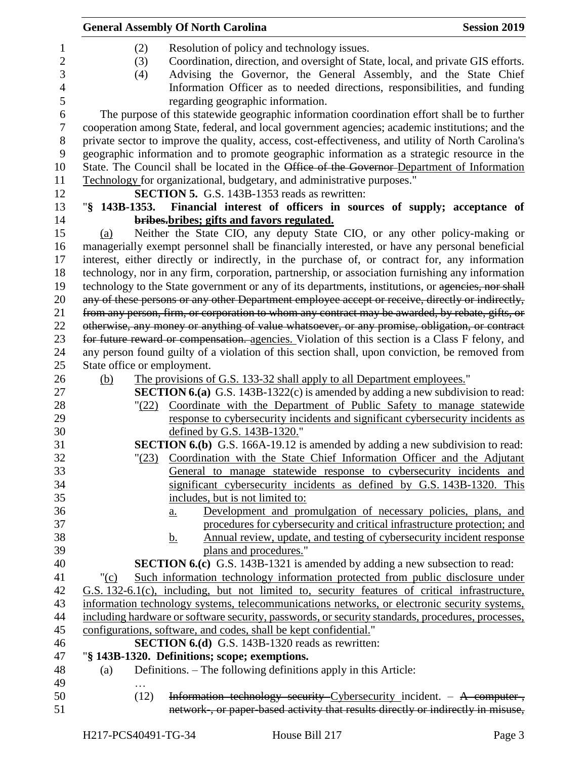|                  |                             | <b>General Assembly Of North Carolina</b>                                                          | <b>Session 2019</b> |
|------------------|-----------------------------|----------------------------------------------------------------------------------------------------|---------------------|
| $\mathbf{1}$     | (2)                         | Resolution of policy and technology issues.                                                        |                     |
| $\mathbf{2}$     | (3)                         | Coordination, direction, and oversight of State, local, and private GIS efforts.                   |                     |
| 3                | (4)                         | Advising the Governor, the General Assembly, and the State Chief                                   |                     |
| $\overline{4}$   |                             | Information Officer as to needed directions, responsibilities, and funding                         |                     |
| 5                |                             | regarding geographic information.                                                                  |                     |
| 6                |                             | The purpose of this statewide geographic information coordination effort shall be to further       |                     |
| $\boldsymbol{7}$ |                             | cooperation among State, federal, and local government agencies; academic institutions; and the    |                     |
| 8                |                             | private sector to improve the quality, access, cost-effectiveness, and utility of North Carolina's |                     |
| 9                |                             | geographic information and to promote geographic information as a strategic resource in the        |                     |
| 10               |                             | State. The Council shall be located in the Office of the Governor-Department of Information        |                     |
| 11               |                             | Technology for organizational, budgetary, and administrative purposes."                            |                     |
| 12               |                             | <b>SECTION 5.</b> G.S. 143B-1353 reads as rewritten:                                               |                     |
| 13               |                             | "§ 143B-1353. Financial interest of officers in sources of supply; acceptance of                   |                     |
| 14               |                             | bribes-bribes; gifts and favors regulated.                                                         |                     |
| 15               | (a)                         | Neither the State CIO, any deputy State CIO, or any other policy-making or                         |                     |
| 16               |                             | managerially exempt personnel shall be financially interested, or have any personal beneficial     |                     |
| 17               |                             | interest, either directly or indirectly, in the purchase of, or contract for, any information      |                     |
| 18               |                             | technology, nor in any firm, corporation, partnership, or association furnishing any information   |                     |
| 19               |                             | technology to the State government or any of its departments, institutions, or agencies, nor shall |                     |
| 20               |                             | any of these persons or any other Department employee accept or receive, directly or indirectly,   |                     |
| 21               |                             | from any person, firm, or corporation to whom any contract may be awarded, by rebate, gifts, or    |                     |
| 22               |                             | otherwise, any money or anything of value whatsoever, or any promise, obligation, or contract      |                     |
| 23               |                             | for future reward or compensation. agencies. Violation of this section is a Class F felony, and    |                     |
| 24               |                             | any person found guilty of a violation of this section shall, upon conviction, be removed from     |                     |
| 25               | State office or employment. |                                                                                                    |                     |
| 26               | (b)                         | The provisions of G.S. 133-32 shall apply to all Department employees."                            |                     |
| 27               |                             | <b>SECTION 6.(a)</b> G.S. 143B-1322(c) is amended by adding a new subdivision to read:             |                     |
| 28               |                             | "(22) Coordinate with the Department of Public Safety to manage statewide                          |                     |
| 29               |                             | response to cybersecurity incidents and significant cybersecurity incidents as                     |                     |
| 30               |                             | defined by G.S. 143B-1320."                                                                        |                     |
| 31               |                             | <b>SECTION 6.(b)</b> G.S. 166A-19.12 is amended by adding a new subdivision to read:               |                     |
| 32               | $\frac{123}{2}$             | Coordination with the State Chief Information Officer and the Adjutant                             |                     |
| 33               |                             | General to manage statewide response to cybersecurity incidents and                                |                     |
| 34               |                             | significant cybersecurity incidents as defined by G.S. 143B-1320. This                             |                     |
| 35               |                             | includes, but is not limited to:                                                                   |                     |
| 36               |                             | Development and promulgation of necessary policies, plans, and<br>$\underline{a}$ .                |                     |
| 37               |                             | procedures for cybersecurity and critical infrastructure protection; and                           |                     |
| 38               |                             | Annual review, update, and testing of cybersecurity incident response<br><u>b.</u>                 |                     |
| 39               |                             | plans and procedures."                                                                             |                     |
| 40               |                             | <b>SECTION 6.(c)</b> G.S. 143B-1321 is amended by adding a new subsection to read:                 |                     |
| 41               | " $(c)$                     | Such information technology information protected from public disclosure under                     |                     |
| 42               |                             | G.S. 132-6.1(c), including, but not limited to, security features of critical infrastructure,      |                     |
| 43               |                             | information technology systems, telecommunications networks, or electronic security systems,       |                     |
| 44               |                             | including hardware or software security, passwords, or security standards, procedures, processes,  |                     |
| 45               |                             | configurations, software, and codes, shall be kept confidential."                                  |                     |
| 46               |                             | SECTION 6.(d) G.S. 143B-1320 reads as rewritten:                                                   |                     |
| 47               |                             | "§ 143B-1320. Definitions; scope; exemptions.                                                      |                     |
| 48               | (a)                         | Definitions. – The following definitions apply in this Article:                                    |                     |
| 49               |                             |                                                                                                    |                     |
| 50               | (12)                        | Information technology security Cybersecurity incident. - A computer-,                             |                     |
| 51               |                             | network-, or paper-based activity that results directly or indirectly in misuse,                   |                     |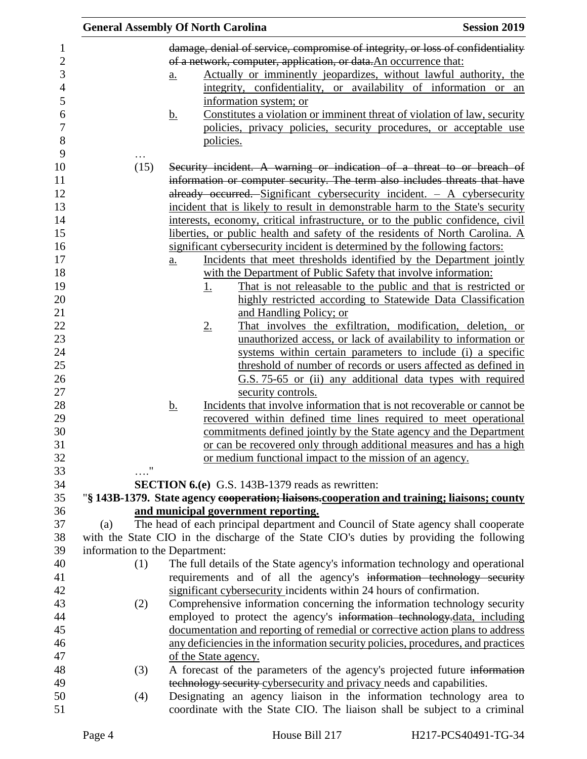|                                |                   | <b>General Assembly Of North Carolina</b> |                                                                      | <b>Session 2019</b>                                                                         |
|--------------------------------|-------------------|-------------------------------------------|----------------------------------------------------------------------|---------------------------------------------------------------------------------------------|
|                                |                   |                                           |                                                                      | damage, denial of service, compromise of integrity, or loss of confidentiality              |
|                                |                   |                                           | of a network, computer, application, or data. An occurrence that:    |                                                                                             |
|                                | $\underline{a}$ . |                                           |                                                                      | Actually or imminently jeopardizes, without lawful authority, the                           |
|                                |                   |                                           |                                                                      | integrity, confidentiality, or availability of information or an                            |
|                                |                   | information system; or                    |                                                                      |                                                                                             |
|                                | <u>b.</u>         |                                           |                                                                      | Constitutes a violation or imminent threat of violation of law, security                    |
|                                |                   |                                           |                                                                      | policies, privacy policies, security procedures, or acceptable use                          |
|                                |                   | policies.                                 |                                                                      |                                                                                             |
|                                |                   |                                           |                                                                      |                                                                                             |
| (15)                           |                   |                                           |                                                                      | Security incident. A warning or indication of a threat to or breach of                      |
|                                |                   |                                           |                                                                      | information or computer security. The term also includes threats that have                  |
|                                |                   |                                           |                                                                      | already occurred. Significant cybersecurity incident. $-$ A cybersecurity                   |
|                                |                   |                                           |                                                                      | incident that is likely to result in demonstrable harm to the State's security              |
|                                |                   |                                           |                                                                      | interests, economy, critical infrastructure, or to the public confidence, civil             |
|                                |                   |                                           |                                                                      | liberties, or public health and safety of the residents of North Carolina. A                |
|                                |                   |                                           |                                                                      | significant cybersecurity incident is determined by the following factors:                  |
|                                | <u>a.</u>         |                                           |                                                                      | Incidents that meet thresholds identified by the Department jointly                         |
|                                |                   |                                           |                                                                      | with the Department of Public Safety that involve information:                              |
|                                |                   | <u>1.</u>                                 |                                                                      | That is not releasable to the public and that is restricted or                              |
|                                |                   |                                           |                                                                      | highly restricted according to Statewide Data Classification                                |
|                                |                   |                                           | and Handling Policy; or                                              |                                                                                             |
|                                |                   | <u>2.</u>                                 |                                                                      | That involves the exfiltration, modification, deletion, or                                  |
|                                |                   |                                           |                                                                      | unauthorized access, or lack of availability to information or                              |
|                                |                   |                                           |                                                                      | systems within certain parameters to include (i) a specific                                 |
|                                |                   |                                           |                                                                      | threshold of number of records or users affected as defined in                              |
|                                |                   |                                           |                                                                      | G.S. 75-65 or (ii) any additional data types with required                                  |
|                                |                   |                                           | security controls.                                                   |                                                                                             |
|                                | <u>b.</u>         |                                           |                                                                      | Incidents that involve information that is not recoverable or cannot be.                    |
|                                |                   |                                           |                                                                      | recovered within defined time lines required to meet operational                            |
|                                |                   |                                           |                                                                      | commitments defined jointly by the State agency and the Department                          |
|                                |                   |                                           |                                                                      | or can be recovered only through additional measures and has a high                         |
|                                |                   |                                           | or medium functional impact to the mission of an agency.             |                                                                                             |
|                                |                   |                                           | <b>SECTION 6.(e)</b> G.S. 143B-1379 reads as rewritten:              |                                                                                             |
|                                |                   |                                           |                                                                      | "§ 143B-1379. State agency cooperation; liaisons.cooperation and training; liaisons; county |
|                                |                   | and municipal government reporting.       |                                                                      |                                                                                             |
| (a)                            |                   |                                           |                                                                      | The head of each principal department and Council of State agency shall cooperate           |
|                                |                   |                                           |                                                                      | with the State CIO in the discharge of the State CIO's duties by providing the following    |
| information to the Department: |                   |                                           |                                                                      |                                                                                             |
| (1)                            |                   |                                           |                                                                      | The full details of the State agency's information technology and operational               |
|                                |                   |                                           |                                                                      | requirements and of all the agency's information technology security                        |
|                                |                   |                                           | significant cybersecurity incidents within 24 hours of confirmation. |                                                                                             |
| (2)                            |                   |                                           |                                                                      | Comprehensive information concerning the information technology security                    |
|                                |                   |                                           |                                                                      | employed to protect the agency's information technology-data, including                     |
|                                |                   |                                           |                                                                      | documentation and reporting of remedial or corrective action plans to address               |
|                                |                   |                                           |                                                                      | any deficiencies in the information security policies, procedures, and practices            |
|                                |                   | of the State agency.                      |                                                                      |                                                                                             |
| (3)                            |                   |                                           |                                                                      | A forecast of the parameters of the agency's projected future information                   |
|                                |                   |                                           |                                                                      | technology security cybersecurity and privacy needs and capabilities.                       |
| (4)                            |                   |                                           |                                                                      | Designating an agency liaison in the information technology area to                         |
|                                |                   |                                           |                                                                      | coordinate with the State CIO. The liaison shall be subject to a criminal                   |
|                                |                   |                                           |                                                                      |                                                                                             |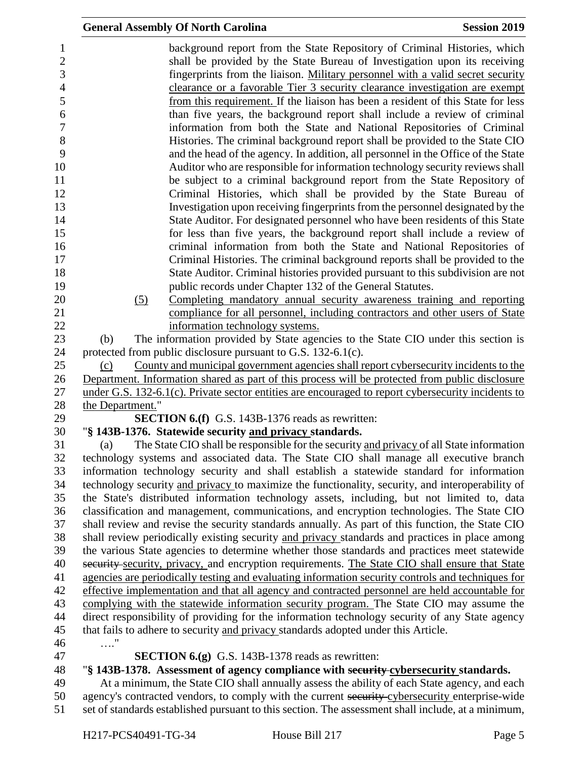|                  | <b>General Assembly Of North Carolina</b>                                                                                                                                                      | <b>Session 2019</b> |
|------------------|------------------------------------------------------------------------------------------------------------------------------------------------------------------------------------------------|---------------------|
|                  | background report from the State Repository of Criminal Histories, which                                                                                                                       |                     |
|                  | shall be provided by the State Bureau of Investigation upon its receiving                                                                                                                      |                     |
|                  | fingerprints from the liaison. Military personnel with a valid secret security                                                                                                                 |                     |
|                  | clearance or a favorable Tier 3 security clearance investigation are exempt                                                                                                                    |                     |
|                  | from this requirement. If the liaison has been a resident of this State for less                                                                                                               |                     |
|                  | than five years, the background report shall include a review of criminal                                                                                                                      |                     |
|                  | information from both the State and National Repositories of Criminal                                                                                                                          |                     |
|                  | Histories. The criminal background report shall be provided to the State CIO                                                                                                                   |                     |
|                  | and the head of the agency. In addition, all personnel in the Office of the State                                                                                                              |                     |
|                  | Auditor who are responsible for information technology security reviews shall                                                                                                                  |                     |
|                  | be subject to a criminal background report from the State Repository of                                                                                                                        |                     |
|                  | Criminal Histories, which shall be provided by the State Bureau of                                                                                                                             |                     |
|                  | Investigation upon receiving fingerprints from the personnel designated by the                                                                                                                 |                     |
|                  | State Auditor. For designated personnel who have been residents of this State                                                                                                                  |                     |
|                  | for less than five years, the background report shall include a review of                                                                                                                      |                     |
|                  | criminal information from both the State and National Repositories of                                                                                                                          |                     |
|                  | Criminal Histories. The criminal background reports shall be provided to the                                                                                                                   |                     |
|                  | State Auditor. Criminal histories provided pursuant to this subdivision are not                                                                                                                |                     |
|                  | public records under Chapter 132 of the General Statutes.                                                                                                                                      |                     |
| (5)              | Completing mandatory annual security awareness training and reporting                                                                                                                          |                     |
|                  | compliance for all personnel, including contractors and other users of State                                                                                                                   |                     |
|                  | information technology systems.                                                                                                                                                                |                     |
| (b)              | The information provided by State agencies to the State CIO under this section is                                                                                                              |                     |
|                  | protected from public disclosure pursuant to G.S. 132-6.1(c).                                                                                                                                  |                     |
| (c)              | County and municipal government agencies shall report cybersecurity incidents to the                                                                                                           |                     |
|                  | Department. Information shared as part of this process will be protected from public disclosure                                                                                                |                     |
|                  | under G.S. 132-6.1(c). Private sector entities are encouraged to report cybersecurity incidents to                                                                                             |                     |
| the Department." |                                                                                                                                                                                                |                     |
|                  | <b>SECTION 6.(f)</b> G.S. 143B-1376 reads as rewritten:                                                                                                                                        |                     |
|                  | "§ 143B-1376. Statewide security and privacy standards.                                                                                                                                        |                     |
| (a)              | The State CIO shall be responsible for the security and privacy of all State information                                                                                                       |                     |
|                  | technology systems and associated data. The State CIO shall manage all executive branch                                                                                                        |                     |
|                  | information technology security and shall establish a statewide standard for information                                                                                                       |                     |
|                  | technology security and privacy to maximize the functionality, security, and interoperability of                                                                                               |                     |
|                  | the State's distributed information technology assets, including, but not limited to, data                                                                                                     |                     |
|                  | classification and management, communications, and encryption technologies. The State CIO                                                                                                      |                     |
|                  | shall review and revise the security standards annually. As part of this function, the State CIO                                                                                               |                     |
|                  | shall review periodically existing security and privacy standards and practices in place among<br>the various State agencies to determine whether those standards and practices meet statewide |                     |
|                  | security security, privacy, and encryption requirements. The State CIO shall ensure that State                                                                                                 |                     |
|                  | agencies are periodically testing and evaluating information security controls and techniques for                                                                                              |                     |
|                  | effective implementation and that all agency and contracted personnel are held accountable for                                                                                                 |                     |
|                  | complying with the statewide information security program. The State CIO may assume the                                                                                                        |                     |
|                  | direct responsibility of providing for the information technology security of any State agency                                                                                                 |                     |
|                  | that fails to adhere to security and privacy standards adopted under this Article.                                                                                                             |                     |
| $\ldots$ "       |                                                                                                                                                                                                |                     |
|                  | <b>SECTION 6.(g)</b> G.S. 143B-1378 reads as rewritten:                                                                                                                                        |                     |
|                  | "§ 143B-1378. Assessment of agency compliance with security-cybersecurity standards.                                                                                                           |                     |
|                  | At a minimum, the State CIO shall annually assess the ability of each State agency, and each                                                                                                   |                     |
|                  | agency's contracted vendors, to comply with the current security cybersecurity enterprise-wide                                                                                                 |                     |
|                  | set of standards established pursuant to this section. The assessment shall include, at a minimum,                                                                                             |                     |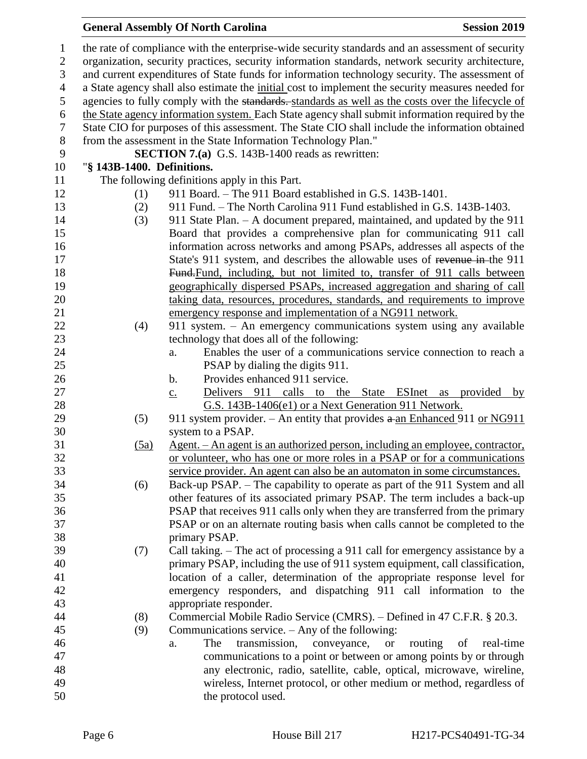# **General Assembly Of North Carolina Session 2019**

| $\mathbf{1}$   |                                                                                                | the rate of compliance with the enterprise-wide security standards and an assessment of security  |  |  |  |
|----------------|------------------------------------------------------------------------------------------------|---------------------------------------------------------------------------------------------------|--|--|--|
| $\mathbf{2}$   |                                                                                                | organization, security practices, security information standards, network security architecture,  |  |  |  |
| 3              | and current expenditures of State funds for information technology security. The assessment of |                                                                                                   |  |  |  |
| $\overline{4}$ |                                                                                                | a State agency shall also estimate the initial cost to implement the security measures needed for |  |  |  |
| 5              |                                                                                                | agencies to fully comply with the standards. standards as well as the costs over the lifecycle of |  |  |  |
| 6              |                                                                                                | the State agency information system. Each State agency shall submit information required by the   |  |  |  |
| $\tau$         |                                                                                                | State CIO for purposes of this assessment. The State CIO shall include the information obtained   |  |  |  |
| $8\,$          |                                                                                                | from the assessment in the State Information Technology Plan."                                    |  |  |  |
| 9              |                                                                                                | <b>SECTION 7.(a)</b> G.S. 143B-1400 reads as rewritten:                                           |  |  |  |
| 10             | "§ 143B-1400. Definitions.                                                                     |                                                                                                   |  |  |  |
| 11             |                                                                                                | The following definitions apply in this Part.                                                     |  |  |  |
| 12             | (1)                                                                                            | 911 Board. – The 911 Board established in G.S. 143B-1401.                                         |  |  |  |
| 13             | (2)                                                                                            | 911 Fund. – The North Carolina 911 Fund established in G.S. 143B-1403.                            |  |  |  |
| 14             | (3)                                                                                            | 911 State Plan. - A document prepared, maintained, and updated by the 911                         |  |  |  |
| 15             |                                                                                                | Board that provides a comprehensive plan for communicating 911 call                               |  |  |  |
| 16             |                                                                                                | information across networks and among PSAPs, addresses all aspects of the                         |  |  |  |
| 17             |                                                                                                | State's 911 system, and describes the allowable uses of revenue in-the 911                        |  |  |  |
| 18             |                                                                                                | Fund-Fund, including, but not limited to, transfer of 911 calls between                           |  |  |  |
| 19             |                                                                                                | geographically dispersed PSAPs, increased aggregation and sharing of call                         |  |  |  |
| 20             |                                                                                                | taking data, resources, procedures, standards, and requirements to improve                        |  |  |  |
| 21             |                                                                                                | emergency response and implementation of a NG911 network.                                         |  |  |  |
| 22             | (4)                                                                                            | 911 system. - An emergency communications system using any available                              |  |  |  |
| 23             |                                                                                                | technology that does all of the following:                                                        |  |  |  |
| 24             |                                                                                                | Enables the user of a communications service connection to reach a<br>a.                          |  |  |  |
| 25             |                                                                                                | PSAP by dialing the digits 911.                                                                   |  |  |  |
| 26             |                                                                                                | Provides enhanced 911 service.<br>b.                                                              |  |  |  |
| 27             |                                                                                                | Delivers 911 calls to the<br>State ESInet<br>provided<br>by<br>$\underline{c}$ .<br>as            |  |  |  |
| 28             |                                                                                                | G.S. 143B-1406(e1) or a Next Generation 911 Network.                                              |  |  |  |
| 29             | (5)                                                                                            | 911 system provider. – An entity that provides $a$ -an Enhanced 911 or NG911                      |  |  |  |
| 30             |                                                                                                | system to a PSAP.                                                                                 |  |  |  |
| 31             | (5a)                                                                                           | <u>Agent. – An agent is an authorized person, including an employee, contractor,</u>              |  |  |  |
| 32             |                                                                                                | or volunteer, who has one or more roles in a PSAP or for a communications                         |  |  |  |
| 33             |                                                                                                | service provider. An agent can also be an automaton in some circumstances.                        |  |  |  |
| 34             | (6)                                                                                            | Back-up PSAP. – The capability to operate as part of the 911 System and all                       |  |  |  |
| 35             |                                                                                                | other features of its associated primary PSAP. The term includes a back-up                        |  |  |  |
| 36             |                                                                                                | PSAP that receives 911 calls only when they are transferred from the primary                      |  |  |  |
| 37             |                                                                                                | PSAP or on an alternate routing basis when calls cannot be completed to the                       |  |  |  |
| 38             |                                                                                                | primary PSAP.                                                                                     |  |  |  |
| 39             | (7)                                                                                            | Call taking. - The act of processing a 911 call for emergency assistance by a                     |  |  |  |
| 40             |                                                                                                | primary PSAP, including the use of 911 system equipment, call classification,                     |  |  |  |
| 41             |                                                                                                | location of a caller, determination of the appropriate response level for                         |  |  |  |
| 42             |                                                                                                | emergency responders, and dispatching 911 call information to the                                 |  |  |  |
| 43             |                                                                                                | appropriate responder.                                                                            |  |  |  |
| 44             | (8)                                                                                            | Commercial Mobile Radio Service (CMRS). – Defined in 47 C.F.R. § 20.3.                            |  |  |  |
| 45             | (9)                                                                                            | Communications service. – Any of the following:                                                   |  |  |  |
| 46             |                                                                                                | transmission,<br>routing<br>of<br>real-time<br>The<br>conveyance,<br><b>or</b><br>a.              |  |  |  |
| 47             |                                                                                                | communications to a point or between or among points by or through                                |  |  |  |
| 48             |                                                                                                | any electronic, radio, satellite, cable, optical, microwave, wireline,                            |  |  |  |
| 49             |                                                                                                | wireless, Internet protocol, or other medium or method, regardless of                             |  |  |  |
| 50             |                                                                                                | the protocol used.                                                                                |  |  |  |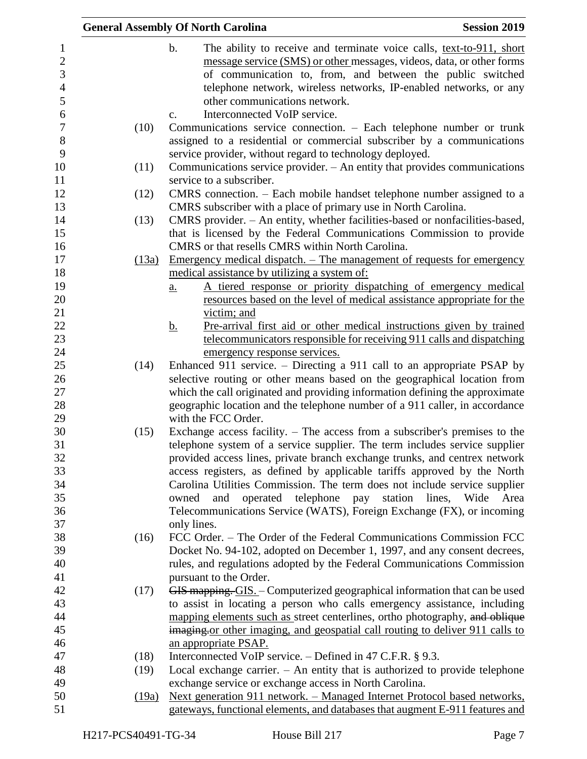|                |       | <b>General Assembly Of North Carolina</b><br><b>Session 2019</b>                      |
|----------------|-------|---------------------------------------------------------------------------------------|
| 1              |       | $\mathbf b$ .<br>The ability to receive and terminate voice calls, text-to-911, short |
| $\mathbf{2}$   |       | message service (SMS) or other messages, videos, data, or other forms                 |
| 3              |       | of communication to, from, and between the public switched                            |
| $\overline{4}$ |       | telephone network, wireless networks, IP-enabled networks, or any                     |
| 5              |       | other communications network.                                                         |
| 6              |       | Interconnected VoIP service.<br>$C_{\bullet}$                                         |
| $\overline{7}$ | (10)  | Communications service connection. - Each telephone number or trunk                   |
| $8\,$          |       | assigned to a residential or commercial subscriber by a communications                |
| 9              |       | service provider, without regard to technology deployed.                              |
| 10             | (11)  | Communications service provider. – An entity that provides communications             |
| 11             |       | service to a subscriber.                                                              |
| 12             | (12)  | CMRS connection. – Each mobile handset telephone number assigned to a                 |
| 13             |       | CMRS subscriber with a place of primary use in North Carolina.                        |
| 14             | (13)  | CMRS provider. - An entity, whether facilities-based or nonfacilities-based,          |
| 15             |       | that is licensed by the Federal Communications Commission to provide                  |
| 16             |       | CMRS or that resells CMRS within North Carolina.                                      |
| 17             | (13a) | <u>Emergency medical dispatch. – The management of requests for emergency</u>         |
| 18             |       | medical assistance by utilizing a system of:                                          |
| 19             |       | A tiered response or priority dispatching of emergency medical<br>$\underline{a}$ .   |
| 20             |       | resources based on the level of medical assistance appropriate for the                |
| 21             |       | victim; and                                                                           |
| 22             |       | Pre-arrival first aid or other medical instructions given by trained<br><u>b.</u>     |
| 23             |       | telecommunicators responsible for receiving 911 calls and dispatching                 |
| 24             |       | emergency response services.                                                          |
| 25             | (14)  | Enhanced 911 service. - Directing a 911 call to an appropriate PSAP by                |
| 26             |       | selective routing or other means based on the geographical location from              |
| 27             |       | which the call originated and providing information defining the approximate          |
| 28             |       | geographic location and the telephone number of a 911 caller, in accordance           |
| 29             |       | with the FCC Order.                                                                   |
| 30             | (15)  | Exchange access facility. $-$ The access from a subscriber's premises to the          |
| 31             |       | telephone system of a service supplier. The term includes service supplier            |
| 32             |       | provided access lines, private branch exchange trunks, and centrex network            |
| 33             |       | access registers, as defined by applicable tariffs approved by the North              |
| 34             |       | Carolina Utilities Commission. The term does not include service supplier             |
| 35             |       | operated telephone pay station lines, Wide<br>owned<br>and<br>Area                    |
| 36             |       | Telecommunications Service (WATS), Foreign Exchange (FX), or incoming                 |
| 37             |       | only lines.                                                                           |
| 38             | (16)  | FCC Order. – The Order of the Federal Communications Commission FCC                   |
| 39             |       | Docket No. 94-102, adopted on December 1, 1997, and any consent decrees,              |
| 40             |       | rules, and regulations adopted by the Federal Communications Commission               |
| 41             |       | pursuant to the Order.                                                                |
| 42             | (17)  | GIS mapping. GIS. - Computerized geographical information that can be used            |
| 43             |       | to assist in locating a person who calls emergency assistance, including              |
| 44             |       | mapping elements such as street centerlines, ortho photography, and oblique           |
| 45             |       | imaging or other imaging, and geospatial call routing to deliver 911 calls to         |
| 46             |       | an appropriate PSAP.                                                                  |
| 47             | (18)  | Interconnected VoIP service. – Defined in 47 C.F.R. § 9.3.                            |
| 48             | (19)  | Local exchange carrier. $-$ An entity that is authorized to provide telephone         |
| 49             |       | exchange service or exchange access in North Carolina.                                |
| 50             | (19a) | <u>Next generation 911 network. – Managed Internet Protocol based networks,</u>       |
| 51             |       | gateways, functional elements, and databases that augment E-911 features and          |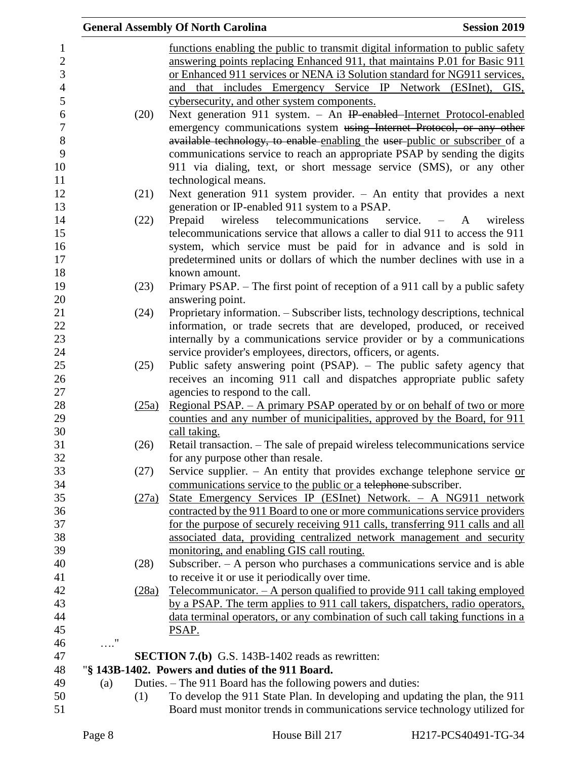|            |       | <b>General Assembly Of North Carolina</b><br><b>Session 2019</b>                                                                                           |
|------------|-------|------------------------------------------------------------------------------------------------------------------------------------------------------------|
|            |       | functions enabling the public to transmit digital information to public safety                                                                             |
|            |       | answering points replacing Enhanced 911, that maintains P.01 for Basic 911                                                                                 |
|            |       | or Enhanced 911 services or NENA i3 Solution standard for NG911 services,                                                                                  |
|            |       | and that includes Emergency Service IP Network (ESInet), GIS,                                                                                              |
|            |       | cybersecurity, and other system components.                                                                                                                |
|            | (20)  | Next generation 911 system. - An IP-enabled-Internet Protocol-enabled                                                                                      |
|            |       | emergency communications system using Internet Protocol, or any other                                                                                      |
|            |       | available technology, to enable enabling the user-public or subscriber of a                                                                                |
|            |       | communications service to reach an appropriate PSAP by sending the digits                                                                                  |
|            |       | 911 via dialing, text, or short message service (SMS), or any other                                                                                        |
|            |       | technological means.                                                                                                                                       |
|            | (21)  | Next generation 911 system provider. $-$ An entity that provides a next                                                                                    |
|            |       | generation or IP-enabled 911 system to a PSAP.                                                                                                             |
|            | (22)  | telecommunications<br>Prepaid<br>wireless<br>service. $-A$<br>wireless                                                                                     |
|            |       | telecommunications service that allows a caller to dial 911 to access the 911                                                                              |
|            |       | system, which service must be paid for in advance and is sold in                                                                                           |
|            |       | predetermined units or dollars of which the number declines with use in a                                                                                  |
|            |       | known amount.                                                                                                                                              |
|            | (23)  | Primary PSAP. – The first point of reception of a 911 call by a public safety                                                                              |
|            |       | answering point.                                                                                                                                           |
|            | (24)  | Proprietary information. - Subscriber lists, technology descriptions, technical                                                                            |
|            |       | information, or trade secrets that are developed, produced, or received                                                                                    |
|            |       | internally by a communications service provider or by a communications                                                                                     |
|            |       | service provider's employees, directors, officers, or agents.                                                                                              |
|            | (25)  | Public safety answering point (PSAP). – The public safety agency that                                                                                      |
|            |       | receives an incoming 911 call and dispatches appropriate public safety                                                                                     |
|            |       | agencies to respond to the call.                                                                                                                           |
|            | (25a) | <u>Regional PSAP. – A primary PSAP operated by or on behalf of two or more</u>                                                                             |
|            |       | counties and any number of municipalities, approved by the Board, for 911                                                                                  |
|            |       | call taking.                                                                                                                                               |
|            | (26)  | Retail transaction. - The sale of prepaid wireless telecommunications service                                                                              |
|            |       | for any purpose other than resale.                                                                                                                         |
|            | (27)  | Service supplier. - An entity that provides exchange telephone service $or$                                                                                |
|            |       | communications service to the public or a telephone subscriber.                                                                                            |
|            | (27a) | State Emergency Services IP (ESInet) Network. - A NG911 network                                                                                            |
|            |       | contracted by the 911 Board to one or more communications service providers                                                                                |
|            |       | for the purpose of securely receiving 911 calls, transferring 911 calls and all                                                                            |
|            |       | associated data, providing centralized network management and security                                                                                     |
|            |       | monitoring, and enabling GIS call routing.                                                                                                                 |
|            | (28)  | Subscriber. - A person who purchases a communications service and is able                                                                                  |
|            |       | to receive it or use it periodically over time.                                                                                                            |
|            | (28a) | Telecommunicator. $- A$ person qualified to provide 911 call taking employed                                                                               |
|            |       | by a PSAP. The term applies to 911 call takers, dispatchers, radio operators,                                                                              |
|            |       | data terminal operators, or any combination of such call taking functions in a                                                                             |
|            |       | PSAP.                                                                                                                                                      |
| $\ldots$ " |       |                                                                                                                                                            |
|            |       | <b>SECTION 7.(b)</b> G.S. 143B-1402 reads as rewritten:                                                                                                    |
|            |       | "§ 143B-1402. Powers and duties of the 911 Board.                                                                                                          |
| (a)        |       | Duties. – The 911 Board has the following powers and duties:                                                                                               |
|            | (1)   | To develop the 911 State Plan. In developing and updating the plan, the 911<br>Board must monitor trends in communications service technology utilized for |
|            |       |                                                                                                                                                            |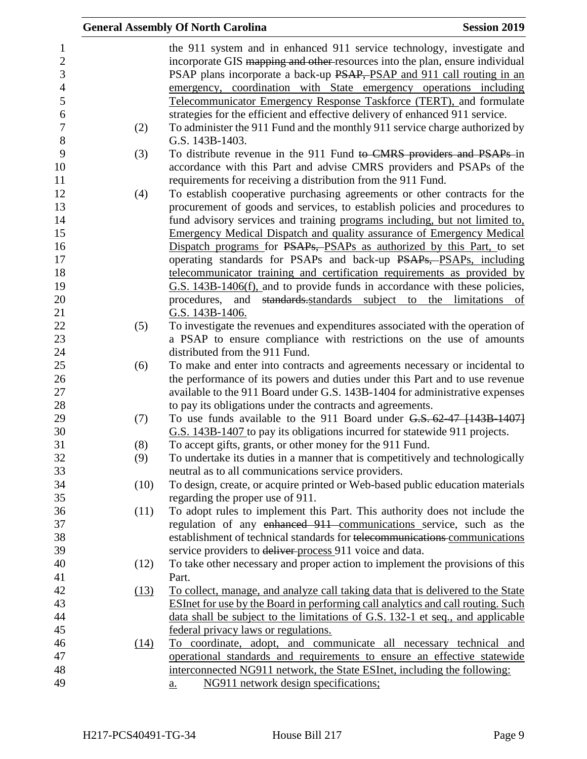|      | <b>General Assembly Of North Carolina</b><br><b>Session 2019</b>                                                                                                                                                                                                                                                                                                             |  |
|------|------------------------------------------------------------------------------------------------------------------------------------------------------------------------------------------------------------------------------------------------------------------------------------------------------------------------------------------------------------------------------|--|
|      | the 911 system and in enhanced 911 service technology, investigate and<br>incorporate GIS mapping and other resources into the plan, ensure individual<br>PSAP plans incorporate a back-up PSAP, PSAP and 911 call routing in an<br>emergency, coordination with State emergency operations including<br>Telecommunicator Emergency Response Taskforce (TERT), and formulate |  |
|      | strategies for the efficient and effective delivery of enhanced 911 service.                                                                                                                                                                                                                                                                                                 |  |
| (2)  | To administer the 911 Fund and the monthly 911 service charge authorized by                                                                                                                                                                                                                                                                                                  |  |
|      | G.S. 143B-1403.                                                                                                                                                                                                                                                                                                                                                              |  |
| (3)  | To distribute revenue in the 911 Fund to CMRS providers and PSAPs in                                                                                                                                                                                                                                                                                                         |  |
|      | accordance with this Part and advise CMRS providers and PSAPs of the<br>requirements for receiving a distribution from the 911 Fund.                                                                                                                                                                                                                                         |  |
| (4)  | To establish cooperative purchasing agreements or other contracts for the                                                                                                                                                                                                                                                                                                    |  |
|      | procurement of goods and services, to establish policies and procedures to                                                                                                                                                                                                                                                                                                   |  |
|      | fund advisory services and training programs including, but not limited to,                                                                                                                                                                                                                                                                                                  |  |
|      | <b>Emergency Medical Dispatch and quality assurance of Emergency Medical</b>                                                                                                                                                                                                                                                                                                 |  |
|      | Dispatch programs for PSAPs, PSAPs as authorized by this Part, to set                                                                                                                                                                                                                                                                                                        |  |
|      | operating standards for PSAPs and back-up PSAPs, PSAPs, including                                                                                                                                                                                                                                                                                                            |  |
|      | telecommunicator training and certification requirements as provided by                                                                                                                                                                                                                                                                                                      |  |
|      | G.S. 143B-1406(f), and to provide funds in accordance with these policies,                                                                                                                                                                                                                                                                                                   |  |
|      | and standards standards subject to the limitations of<br>procedures,                                                                                                                                                                                                                                                                                                         |  |
|      | G.S. 143B-1406.                                                                                                                                                                                                                                                                                                                                                              |  |
| (5)  | To investigate the revenues and expenditures associated with the operation of                                                                                                                                                                                                                                                                                                |  |
|      | a PSAP to ensure compliance with restrictions on the use of amounts                                                                                                                                                                                                                                                                                                          |  |
|      | distributed from the 911 Fund.                                                                                                                                                                                                                                                                                                                                               |  |
| (6)  | To make and enter into contracts and agreements necessary or incidental to                                                                                                                                                                                                                                                                                                   |  |
|      | the performance of its powers and duties under this Part and to use revenue                                                                                                                                                                                                                                                                                                  |  |
|      | available to the 911 Board under G.S. 143B-1404 for administrative expenses                                                                                                                                                                                                                                                                                                  |  |
|      | to pay its obligations under the contracts and agreements.                                                                                                                                                                                                                                                                                                                   |  |
| (7)  | To use funds available to the 911 Board under $G.S. 62-47$ [143B-1407]                                                                                                                                                                                                                                                                                                       |  |
|      | G.S. 143B-1407 to pay its obligations incurred for statewide 911 projects.                                                                                                                                                                                                                                                                                                   |  |
| (8)  | To accept gifts, grants, or other money for the 911 Fund.                                                                                                                                                                                                                                                                                                                    |  |
| (9)  | To undertake its duties in a manner that is competitively and technologically                                                                                                                                                                                                                                                                                                |  |
| (10) | neutral as to all communications service providers.<br>To design, create, or acquire printed or Web-based public education materials                                                                                                                                                                                                                                         |  |
|      | regarding the proper use of 911.                                                                                                                                                                                                                                                                                                                                             |  |
| (11) | To adopt rules to implement this Part. This authority does not include the                                                                                                                                                                                                                                                                                                   |  |
|      | regulation of any enhanced 911 communications service, such as the                                                                                                                                                                                                                                                                                                           |  |
|      | establishment of technical standards for telecommunications communications                                                                                                                                                                                                                                                                                                   |  |
|      | service providers to deliver process 911 voice and data.                                                                                                                                                                                                                                                                                                                     |  |
| (12) | To take other necessary and proper action to implement the provisions of this                                                                                                                                                                                                                                                                                                |  |
|      | Part.                                                                                                                                                                                                                                                                                                                                                                        |  |
| (13) | To collect, manage, and analyze call taking data that is delivered to the State                                                                                                                                                                                                                                                                                              |  |
|      | <b>ESInet for use by the Board in performing call analytics and call routing. Such</b>                                                                                                                                                                                                                                                                                       |  |
|      | data shall be subject to the limitations of G.S. 132-1 et seq., and applicable                                                                                                                                                                                                                                                                                               |  |
|      | federal privacy laws or regulations.                                                                                                                                                                                                                                                                                                                                         |  |
| (14) | To coordinate, adopt, and communicate all necessary technical and                                                                                                                                                                                                                                                                                                            |  |
|      | operational standards and requirements to ensure an effective statewide                                                                                                                                                                                                                                                                                                      |  |
|      | interconnected NG911 network, the State ESInet, including the following:                                                                                                                                                                                                                                                                                                     |  |
|      | NG911 network design specifications;<br>$\underline{a}$ .                                                                                                                                                                                                                                                                                                                    |  |
|      |                                                                                                                                                                                                                                                                                                                                                                              |  |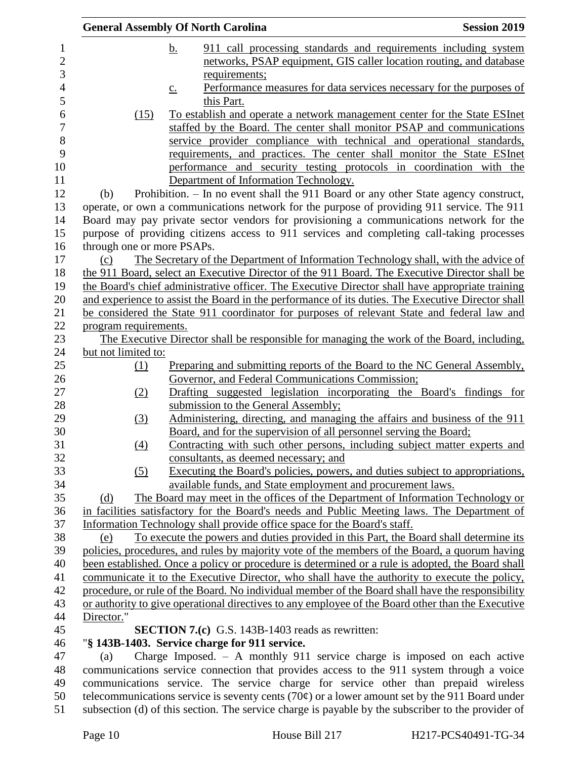|                  |                            | <b>General Assembly Of North Carolina</b>                                                                                                                                            | <b>Session 2019</b>                                                  |
|------------------|----------------------------|--------------------------------------------------------------------------------------------------------------------------------------------------------------------------------------|----------------------------------------------------------------------|
| $\mathbf{1}$     |                            | $\mathbf b$ .                                                                                                                                                                        | 911 call processing standards and requirements including system      |
| $\boldsymbol{2}$ |                            |                                                                                                                                                                                      | networks, PSAP equipment, GIS caller location routing, and database  |
| 3                |                            | requirements;                                                                                                                                                                        |                                                                      |
| $\overline{4}$   |                            | $\underline{c}$ .                                                                                                                                                                    | Performance measures for data services necessary for the purposes of |
| 5                |                            | this Part.                                                                                                                                                                           |                                                                      |
| 6                | (15)                       | To establish and operate a network management center for the State ESInet                                                                                                            |                                                                      |
| 7                |                            | staffed by the Board. The center shall monitor PSAP and communications                                                                                                               |                                                                      |
| 8                |                            | service provider compliance with technical and operational standards,                                                                                                                |                                                                      |
| 9                |                            | requirements, and practices. The center shall monitor the State ESInet                                                                                                               |                                                                      |
| 10               |                            | performance and security testing protocols in coordination with the                                                                                                                  |                                                                      |
| 11               |                            | Department of Information Technology.                                                                                                                                                |                                                                      |
| 12               | (b)                        | Prohibition. - In no event shall the 911 Board or any other State agency construct,                                                                                                  |                                                                      |
| 13               |                            | operate, or own a communications network for the purpose of providing 911 service. The 911                                                                                           |                                                                      |
| 14               |                            | Board may pay private sector vendors for provisioning a communications network for the                                                                                               |                                                                      |
| 15               |                            | purpose of providing citizens access to 911 services and completing call-taking processes                                                                                            |                                                                      |
| 16<br>17         | through one or more PSAPs. |                                                                                                                                                                                      |                                                                      |
| 18               | (c)                        | The Secretary of the Department of Information Technology shall, with the advice of<br>the 911 Board, select an Executive Director of the 911 Board. The Executive Director shall be |                                                                      |
| 19               |                            | the Board's chief administrative officer. The Executive Director shall have appropriate training                                                                                     |                                                                      |
| 20               |                            | and experience to assist the Board in the performance of its duties. The Executive Director shall                                                                                    |                                                                      |
| 21               |                            | be considered the State 911 coordinator for purposes of relevant State and federal law and                                                                                           |                                                                      |
| 22               | program requirements.      |                                                                                                                                                                                      |                                                                      |
| 23               |                            | The Executive Director shall be responsible for managing the work of the Board, including,                                                                                           |                                                                      |
| 24               | but not limited to:        |                                                                                                                                                                                      |                                                                      |
| 25               | (1)                        | Preparing and submitting reports of the Board to the NC General Assembly,                                                                                                            |                                                                      |
| 26               |                            | Governor, and Federal Communications Commission;                                                                                                                                     |                                                                      |
| 27               | (2)                        | Drafting suggested legislation incorporating the Board's findings for                                                                                                                |                                                                      |
| 28               |                            | submission to the General Assembly;                                                                                                                                                  |                                                                      |
| 29               | (3)                        | Administering, directing, and managing the affairs and business of the 911                                                                                                           |                                                                      |
| 30               |                            | Board, and for the supervision of all personnel serving the Board;                                                                                                                   |                                                                      |
| 31               | (4)                        | Contracting with such other persons, including subject matter experts and                                                                                                            |                                                                      |
| 32               |                            | consultants, as deemed necessary; and                                                                                                                                                |                                                                      |
| 33               | (5)                        | Executing the Board's policies, powers, and duties subject to appropriations,                                                                                                        |                                                                      |
| 34               |                            | available funds, and State employment and procurement laws.                                                                                                                          |                                                                      |
| 35<br>36         | (d)                        | The Board may meet in the offices of the Department of Information Technology or<br>in facilities satisfactory for the Board's needs and Public Meeting laws. The Department of      |                                                                      |
| 37               |                            | Information Technology shall provide office space for the Board's staff.                                                                                                             |                                                                      |
| 38               | (e)                        | To execute the powers and duties provided in this Part, the Board shall determine its                                                                                                |                                                                      |
| 39               |                            | policies, procedures, and rules by majority vote of the members of the Board, a quorum having                                                                                        |                                                                      |
| 40               |                            | been established. Once a policy or procedure is determined or a rule is adopted, the Board shall                                                                                     |                                                                      |
| 41               |                            | communicate it to the Executive Director, who shall have the authority to execute the policy,                                                                                        |                                                                      |
| 42               |                            | procedure, or rule of the Board. No individual member of the Board shall have the responsibility                                                                                     |                                                                      |
| 43               |                            | or authority to give operational directives to any employee of the Board other than the Executive                                                                                    |                                                                      |
| 44               | Director."                 |                                                                                                                                                                                      |                                                                      |
| 45               |                            | <b>SECTION 7.(c)</b> G.S. 143B-1403 reads as rewritten:                                                                                                                              |                                                                      |
| 46               |                            | "§ 143B-1403. Service charge for 911 service.                                                                                                                                        |                                                                      |
| 47               | (a)                        | Charge Imposed. $-$ A monthly 911 service charge is imposed on each active                                                                                                           |                                                                      |
| 48               |                            | communications service connection that provides access to the 911 system through a voice                                                                                             |                                                                      |
| 49               |                            | communications service. The service charge for service other than prepaid wireless                                                                                                   |                                                                      |
| 50               |                            | telecommunications service is seventy cents (70 $\varphi$ ) or a lower amount set by the 911 Board under                                                                             |                                                                      |
| 51               |                            | subsection (d) of this section. The service charge is payable by the subscriber to the provider of                                                                                   |                                                                      |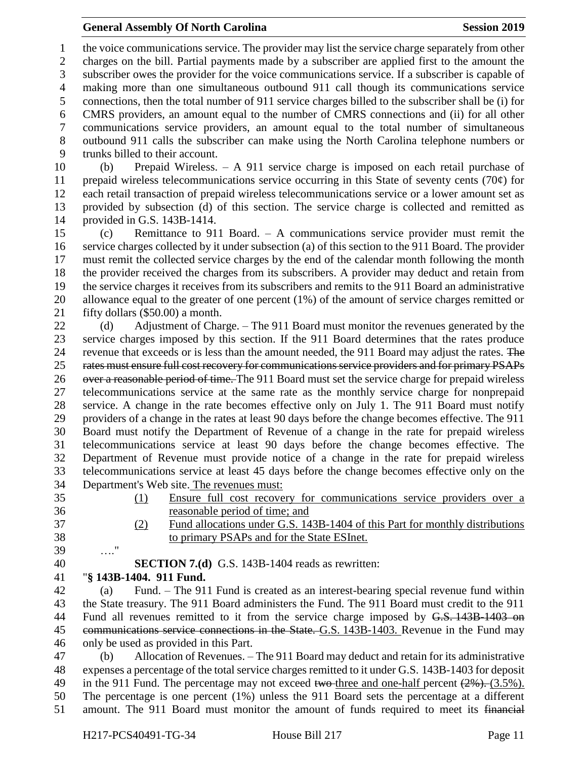#### **General Assembly Of North Carolina Session 2019 Session 2019**

 the voice communications service. The provider may list the service charge separately from other charges on the bill. Partial payments made by a subscriber are applied first to the amount the subscriber owes the provider for the voice communications service. If a subscriber is capable of making more than one simultaneous outbound 911 call though its communications service connections, then the total number of 911 service charges billed to the subscriber shall be (i) for CMRS providers, an amount equal to the number of CMRS connections and (ii) for all other communications service providers, an amount equal to the total number of simultaneous outbound 911 calls the subscriber can make using the North Carolina telephone numbers or trunks billed to their account.

 (b) Prepaid Wireless. – A 911 service charge is imposed on each retail purchase of 11 prepaid wireless telecommunications service occurring in this State of seventy cents (70 $\varphi$ ) for each retail transaction of prepaid wireless telecommunications service or a lower amount set as provided by subsection (d) of this section. The service charge is collected and remitted as provided in G.S. 143B-1414.

 (c) Remittance to 911 Board. – A communications service provider must remit the service charges collected by it under subsection (a) of this section to the 911 Board. The provider must remit the collected service charges by the end of the calendar month following the month the provider received the charges from its subscribers. A provider may deduct and retain from the service charges it receives from its subscribers and remits to the 911 Board an administrative allowance equal to the greater of one percent (1%) of the amount of service charges remitted or fifty dollars (\$50.00) a month.

22 (d) Adjustment of Charge. – The 911 Board must monitor the revenues generated by the service charges imposed by this section. If the 911 Board determines that the rates produce 24 revenue that exceeds or is less than the amount needed, the 911 Board may adjust the rates. The rates must ensure full cost recovery for communications service providers and for primary PSAPs 26 over a reasonable period of time. The 911 Board must set the service charge for prepaid wireless telecommunications service at the same rate as the monthly service charge for nonprepaid service. A change in the rate becomes effective only on July 1. The 911 Board must notify providers of a change in the rates at least 90 days before the change becomes effective. The 911 Board must notify the Department of Revenue of a change in the rate for prepaid wireless telecommunications service at least 90 days before the change becomes effective. The Department of Revenue must provide notice of a change in the rate for prepaid wireless telecommunications service at least 45 days before the change becomes effective only on the Department's Web site. The revenues must:

- 
- 
- (1) Ensure full cost recovery for communications service providers over a reasonable period of time; and
- (2) Fund allocations under G.S. 143B-1404 of this Part for monthly distributions to primary PSAPs and for the State ESInet.
- …."

**SECTION 7.(d)** G.S. 143B-1404 reads as rewritten:

"**§ 143B-1404. 911 Fund.**

 (a) Fund. – The 911 Fund is created as an interest-bearing special revenue fund within the State treasury. The 911 Board administers the Fund. The 911 Board must credit to the 911 44 Fund all revenues remitted to it from the service charge imposed by G.S. 143B-1403 on communications service connections in the State. G.S. 143B-1403. Revenue in the Fund may only be used as provided in this Part.

 (b) Allocation of Revenues. – The 911 Board may deduct and retain for its administrative expenses a percentage of the total service charges remitted to it under G.S. 143B-1403 for deposit 49 in the 911 Fund. The percentage may not exceed two-three and one-half percent  $(2\%)$ . (3.5%). The percentage is one percent (1%) unless the 911 Board sets the percentage at a different amount. The 911 Board must monitor the amount of funds required to meet its financial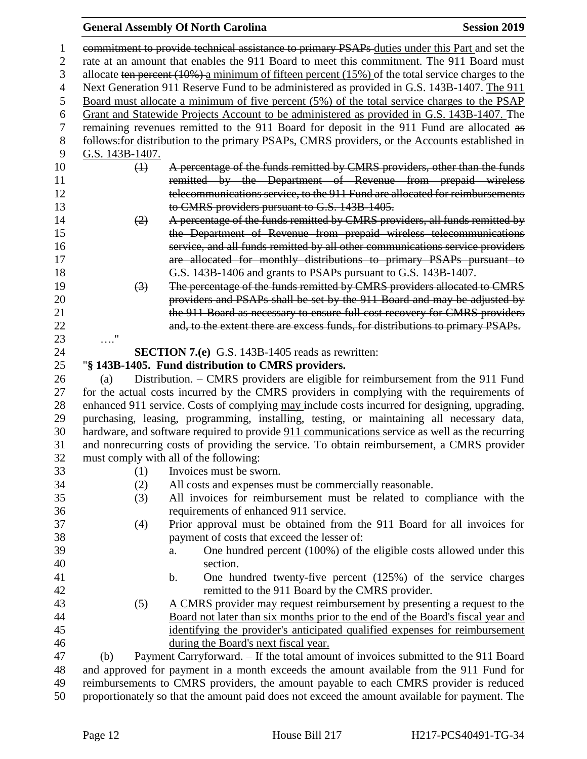## **General Assembly Of North Carolina Session 2019**

| 1              |                                                                                                         | commitment to provide technical assistance to primary PSAPs duties under this Part and set the |  |  |  |
|----------------|---------------------------------------------------------------------------------------------------------|------------------------------------------------------------------------------------------------|--|--|--|
| 2              |                                                                                                         | rate at an amount that enables the 911 Board to meet this commitment. The 911 Board must       |  |  |  |
| 3              | allocate ten percent $(10\%)$ a minimum of fifteen percent $(15\%)$ of the total service charges to the |                                                                                                |  |  |  |
| $\overline{4}$ | Next Generation 911 Reserve Fund to be administered as provided in G.S. 143B-1407. The 911              |                                                                                                |  |  |  |
| 5              |                                                                                                         | Board must allocate a minimum of five percent (5%) of the total service charges to the PSAP    |  |  |  |
| 6              |                                                                                                         | Grant and Statewide Projects Account to be administered as provided in G.S. 143B-1407. The     |  |  |  |
| $\tau$         |                                                                                                         | remaining revenues remitted to the 911 Board for deposit in the 911 Fund are allocated as      |  |  |  |
| $8\,$          |                                                                                                         | follows: for distribution to the primary PSAPs, CMRS providers, or the Accounts established in |  |  |  |
| 9              | G.S. 143B-1407.                                                                                         |                                                                                                |  |  |  |
| 10             | $\leftrightarrow$                                                                                       | A percentage of the funds remitted by CMRS providers, other than the funds                     |  |  |  |
| 11             |                                                                                                         | remitted by the Department of Revenue from prepaid wireless                                    |  |  |  |
| 12             |                                                                                                         | telecommunications service, to the 911 Fund are allocated for reimbursements                   |  |  |  |
| 13             |                                                                                                         | to CMRS providers pursuant to G.S. 143B-1405.                                                  |  |  |  |
| 14             | (2)                                                                                                     | A percentage of the funds remitted by CMRS providers, all funds remitted by                    |  |  |  |
| 15             |                                                                                                         | the Department of Revenue from prepaid wireless telecommunications                             |  |  |  |
| 16             |                                                                                                         | service, and all funds remitted by all other communications service providers                  |  |  |  |
| 17             |                                                                                                         | are allocated for monthly distributions to primary PSAPs pursuant to                           |  |  |  |
| 18             |                                                                                                         | G.S. 143B-1406 and grants to PSAPs pursuant to G.S. 143B-1407.                                 |  |  |  |
| 19             | $\left(3\right)$                                                                                        | The percentage of the funds remitted by CMRS providers allocated to CMRS                       |  |  |  |
| 20             |                                                                                                         | providers and PSAPs shall be set by the 911 Board and may be adjusted by                       |  |  |  |
| 21             |                                                                                                         | the 911 Board as necessary to ensure full cost recovery for CMRS providers                     |  |  |  |
| 22             |                                                                                                         | and, to the extent there are excess funds, for distributions to primary PSAPs.                 |  |  |  |
| 23             | $\ldots$ "                                                                                              |                                                                                                |  |  |  |
| 24             |                                                                                                         | <b>SECTION 7.(e)</b> G.S. 143B-1405 reads as rewritten:                                        |  |  |  |
| 25             |                                                                                                         | "§ 143B-1405. Fund distribution to CMRS providers.                                             |  |  |  |
| 26             | (a)                                                                                                     | Distribution. - CMRS providers are eligible for reimbursement from the 911 Fund                |  |  |  |
| 27             |                                                                                                         | for the actual costs incurred by the CMRS providers in complying with the requirements of      |  |  |  |
| 28             |                                                                                                         | enhanced 911 service. Costs of complying may include costs incurred for designing, upgrading,  |  |  |  |
| 29             |                                                                                                         | purchasing, leasing, programming, installing, testing, or maintaining all necessary data,      |  |  |  |
| 30             |                                                                                                         | hardware, and software required to provide 911 communications service as well as the recurring |  |  |  |
| 31             |                                                                                                         | and nonrecurring costs of providing the service. To obtain reimbursement, a CMRS provider      |  |  |  |
| 32             |                                                                                                         | must comply with all of the following:                                                         |  |  |  |
| 33             | (1)                                                                                                     | Invoices must be sworn.                                                                        |  |  |  |
| 34             | (2)                                                                                                     | All costs and expenses must be commercially reasonable.                                        |  |  |  |
| 35             | (3)                                                                                                     | All invoices for reimbursement must be related to compliance with the                          |  |  |  |
| 36             |                                                                                                         | requirements of enhanced 911 service.                                                          |  |  |  |
| 37             | (4)                                                                                                     | Prior approval must be obtained from the 911 Board for all invoices for                        |  |  |  |
| 38             |                                                                                                         | payment of costs that exceed the lesser of:                                                    |  |  |  |
| 39             |                                                                                                         | One hundred percent (100%) of the eligible costs allowed under this<br>a.                      |  |  |  |
| 40             |                                                                                                         | section.                                                                                       |  |  |  |
| 41             |                                                                                                         | One hundred twenty-five percent (125%) of the service charges<br>b.                            |  |  |  |
| 42             |                                                                                                         | remitted to the 911 Board by the CMRS provider.                                                |  |  |  |
| 43             | (5)                                                                                                     | A CMRS provider may request reimbursement by presenting a request to the                       |  |  |  |
| 44             |                                                                                                         | Board not later than six months prior to the end of the Board's fiscal year and                |  |  |  |
| 45             |                                                                                                         | identifying the provider's anticipated qualified expenses for reimbursement                    |  |  |  |
| 46             |                                                                                                         | during the Board's next fiscal year.                                                           |  |  |  |
| 47             | (b)                                                                                                     | Payment Carryforward. - If the total amount of invoices submitted to the 911 Board             |  |  |  |
| 48             |                                                                                                         | and approved for payment in a month exceeds the amount available from the 911 Fund for         |  |  |  |
| 49             | reimbursements to CMRS providers, the amount payable to each CMRS provider is reduced                   |                                                                                                |  |  |  |

proportionately so that the amount paid does not exceed the amount available for payment. The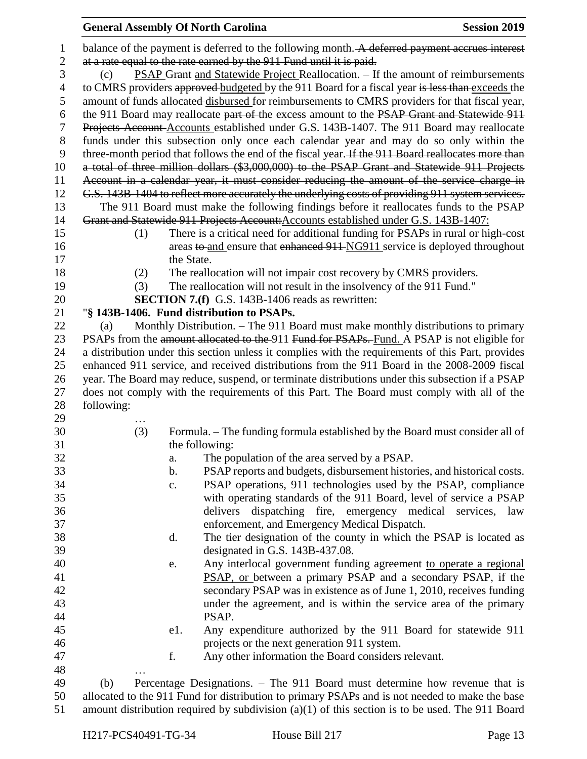| $\mathbf{1}$   |            | balance of the payment is deferred to the following month. A deferred payment accrues interest     |
|----------------|------------|----------------------------------------------------------------------------------------------------|
| $\overline{2}$ |            | at a rate equal to the rate earned by the 911 Fund until it is paid.                               |
| 3              | (c)        | <b>PSAP Grant and Statewide Project Reallocation.</b> – If the amount of reimbursements            |
| $\overline{4}$ |            | to CMRS providers approved budgeted by the 911 Board for a fiscal year is less than exceeds the    |
| 5              |            | amount of funds allocated disbursed for reimbursements to CMRS providers for that fiscal year,     |
| 6              |            | the 911 Board may reallocate part of the excess amount to the PSAP Grant and Statewide 911         |
| 7              |            | Projects Account-Accounts established under G.S. 143B-1407. The 911 Board may reallocate           |
| $8\,$          |            | funds under this subsection only once each calendar year and may do so only within the             |
| 9              |            | three-month period that follows the end of the fiscal year. If the 911 Board reallocates more than |
| 10             |            | a total of three million dollars (\$3,000,000) to the PSAP Grant and Statewide 911 Projects        |
| 11             |            | Account in a calendar year, it must consider reducing the amount of the service charge in          |
| 12             |            | G.S. 143B-1404 to reflect more accurately the underlying costs of providing 911 system services.   |
| 13             |            | The 911 Board must make the following findings before it reallocates funds to the PSAP             |
| 14             |            | Grant and Statewide 911 Projects Account: Accounts established under G.S. 143B-1407:               |
| 15             | (1)        | There is a critical need for additional funding for PSAPs in rural or high-cost                    |
| 16             |            | areas to and ensure that enhanced 911-NG911 service is deployed throughout                         |
| 17             |            | the State.                                                                                         |
| 18             | (2)        | The reallocation will not impair cost recovery by CMRS providers.                                  |
| 19             | (3)        | The reallocation will not result in the insolvency of the 911 Fund."                               |
| 20             |            | <b>SECTION 7.(f)</b> G.S. 143B-1406 reads as rewritten:                                            |
| 21             |            | "§ 143B-1406. Fund distribution to PSAPs.                                                          |
| 22             | (a)        | Monthly Distribution. – The 911 Board must make monthly distributions to primary                   |
| 23             |            | PSAPs from the amount allocated to the 911 Fund for PSAPs. Fund. A PSAP is not eligible for        |
| 24             |            | a distribution under this section unless it complies with the requirements of this Part, provides  |
| 25             |            | enhanced 911 service, and received distributions from the 911 Board in the 2008-2009 fiscal        |
| 26             |            | year. The Board may reduce, suspend, or terminate distributions under this subsection if a PSAP    |
| 27             |            | does not comply with the requirements of this Part. The Board must comply with all of the          |
| 28             | following: |                                                                                                    |
| 29             |            |                                                                                                    |
| 30             | (3)        | Formula. – The funding formula established by the Board must consider all of                       |
| 31             |            | the following:                                                                                     |
| 32             |            | The population of the area served by a PSAP.<br>a.                                                 |
| 33             |            | PSAP reports and budgets, disbursement histories, and historical costs.<br>b.                      |
| 34             |            | PSAP operations, 911 technologies used by the PSAP, compliance<br>c.                               |
| 35             |            | with operating standards of the 911 Board, level of service a PSAP                                 |
| 36             |            | delivers dispatching fire, emergency medical services, law                                         |
| 37             |            | enforcement, and Emergency Medical Dispatch.                                                       |
| 38             |            | The tier designation of the county in which the PSAP is located as<br>d.                           |
| 39             |            | designated in G.S. 143B-437.08.                                                                    |
| 40             |            | Any interlocal government funding agreement to operate a regional<br>e.                            |
| 41             |            | PSAP, or between a primary PSAP and a secondary PSAP, if the                                       |
| 42             |            | secondary PSAP was in existence as of June 1, 2010, receives funding                               |
| 43             |            | under the agreement, and is within the service area of the primary                                 |
| 44             |            | PSAP.                                                                                              |
| 45             |            | Any expenditure authorized by the 911 Board for statewide 911<br>e1.                               |
| 46             |            | projects or the next generation 911 system.                                                        |
| 47             |            | f.<br>Any other information the Board considers relevant.                                          |
| 48             |            |                                                                                                    |
| 49             | (b)        | Percentage Designations. - The 911 Board must determine how revenue that is                        |
| 50             |            | allocated to the 911 Fund for distribution to primary PSAPs and is not needed to make the base     |

amount distribution required by subdivision (a)(1) of this section is to be used. The 911 Board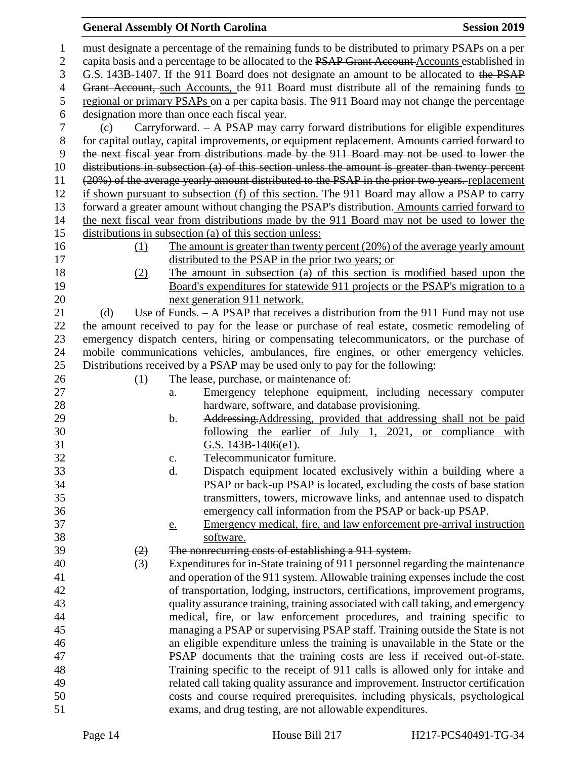#### **General Assembly Of North Carolina Session 2019 Session 2019**

 must designate a percentage of the remaining funds to be distributed to primary PSAPs on a per 2 capita basis and a percentage to be allocated to the PSAP Grant Account Accounts established in G.S. 143B-1407. If the 911 Board does not designate an amount to be allocated to the PSAP 4 Grant Account, such Accounts, the 911 Board must distribute all of the remaining funds to regional or primary PSAPs on a per capita basis. The 911 Board may not change the percentage designation more than once each fiscal year. (c) Carryforward. – A PSAP may carry forward distributions for eligible expenditures for capital outlay, capital improvements, or equipment replacement. Amounts carried forward to the next fiscal year from distributions made by the 911 Board may not be used to lower the distributions in subsection (a) of this section unless the amount is greater than twenty percent (20%) of the average yearly amount distributed to the PSAP in the prior two years. replacement if shown pursuant to subsection (f) of this section. The 911 Board may allow a PSAP to carry forward a greater amount without changing the PSAP's distribution. Amounts carried forward to the next fiscal year from distributions made by the 911 Board may not be used to lower the distributions in subsection (a) of this section unless: (1) The amount is greater than twenty percent (20%) of the average yearly amount distributed to the PSAP in the prior two years; or (2) The amount in subsection (a) of this section is modified based upon the Board's expenditures for statewide 911 projects or the PSAP's migration to a next generation 911 network. 21 (d) Use of Funds. – A PSAP that receives a distribution from the 911 Fund may not use the amount received to pay for the lease or purchase of real estate, cosmetic remodeling of emergency dispatch centers, hiring or compensating telecommunicators, or the purchase of mobile communications vehicles, ambulances, fire engines, or other emergency vehicles. Distributions received by a PSAP may be used only to pay for the following: 26 (1) The lease, purchase, or maintenance of: a. Emergency telephone equipment, including necessary computer hardware, software, and database provisioning. 29 b. Addressing. Addressing, provided that addressing shall not be paid following the earlier of July 1, 2021, or compliance with G.S. 143B-1406(e1). c. Telecommunicator furniture. d. Dispatch equipment located exclusively within a building where a PSAP or back-up PSAP is located, excluding the costs of base station transmitters, towers, microwave links, and antennae used to dispatch emergency call information from the PSAP or back-up PSAP. e. Emergency medical, fire, and law enforcement pre-arrival instruction software.  $(2)$  The nonrecurring costs of establishing a 911 system. (3) Expenditures for in-State training of 911 personnel regarding the maintenance and operation of the 911 system. Allowable training expenses include the cost of transportation, lodging, instructors, certifications, improvement programs, quality assurance training, training associated with call taking, and emergency medical, fire, or law enforcement procedures, and training specific to managing a PSAP or supervising PSAP staff. Training outside the State is not an eligible expenditure unless the training is unavailable in the State or the PSAP documents that the training costs are less if received out-of-state. Training specific to the receipt of 911 calls is allowed only for intake and related call taking quality assurance and improvement. Instructor certification costs and course required prerequisites, including physicals, psychological exams, and drug testing, are not allowable expenditures.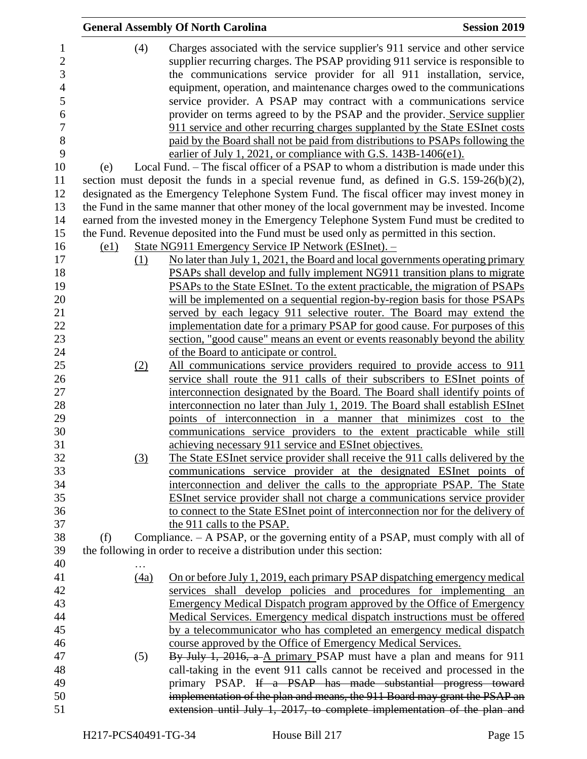|     |      | <b>General Assembly Of North Carolina</b>                                                     | <b>Session 2019</b> |
|-----|------|-----------------------------------------------------------------------------------------------|---------------------|
|     | (4)  | Charges associated with the service supplier's 911 service and other service                  |                     |
|     |      | supplier recurring charges. The PSAP providing 911 service is responsible to                  |                     |
|     |      | the communications service provider for all 911 installation, service,                        |                     |
|     |      | equipment, operation, and maintenance charges owed to the communications                      |                     |
|     |      | service provider. A PSAP may contract with a communications service                           |                     |
|     |      | provider on terms agreed to by the PSAP and the provider. Service supplier                    |                     |
|     |      | 911 service and other recurring charges supplanted by the State ESInet costs                  |                     |
|     |      | paid by the Board shall not be paid from distributions to PSAPs following the                 |                     |
|     |      | earlier of July 1, 2021, or compliance with G.S. 143B-1406(e1).                               |                     |
| (e) |      | Local Fund. – The fiscal officer of a PSAP to whom a distribution is made under this          |                     |
|     |      | section must deposit the funds in a special revenue fund, as defined in G.S. $159-26(b)(2)$ , |                     |
|     |      | designated as the Emergency Telephone System Fund. The fiscal officer may invest money in     |                     |
|     |      | the Fund in the same manner that other money of the local government may be invested. Income  |                     |
|     |      | earned from the invested money in the Emergency Telephone System Fund must be credited to     |                     |
|     |      | the Fund. Revenue deposited into the Fund must be used only as permitted in this section.     |                     |
|     | (e1) | State NG911 Emergency Service IP Network (ESInet). -                                          |                     |
|     | (1)  | No later than July 1, 2021, the Board and local governments operating primary                 |                     |
|     |      | PSAPs shall develop and fully implement NG911 transition plans to migrate                     |                     |
|     |      | PSAPs to the State ESInet. To the extent practicable, the migration of PSAPs                  |                     |
|     |      | will be implemented on a sequential region-by-region basis for those PSAPs                    |                     |
|     |      | served by each legacy 911 selective router. The Board may extend the                          |                     |
|     |      | implementation date for a primary PSAP for good cause. For purposes of this                   |                     |
|     |      | section, "good cause" means an event or events reasonably beyond the ability                  |                     |
|     |      | of the Board to anticipate or control.                                                        |                     |
|     | (2)  | All communications service providers required to provide access to 911                        |                     |
|     |      | service shall route the 911 calls of their subscribers to ESInet points of                    |                     |
|     |      | interconnection designated by the Board. The Board shall identify points of                   |                     |
|     |      | interconnection no later than July 1, 2019. The Board shall establish ESInet                  |                     |
|     |      | points of interconnection in a manner that minimizes cost to the                              |                     |
|     |      | communications service providers to the extent practicable while still                        |                     |
|     |      | achieving necessary 911 service and ESInet objectives.                                        |                     |
|     | (3)  | The State ESInet service provider shall receive the 911 calls delivered by the                |                     |
|     |      | communications service provider at the designated ESInet points of                            |                     |
|     |      | interconnection and deliver the calls to the appropriate PSAP. The State                      |                     |
|     |      | ESInet service provider shall not charge a communications service provider                    |                     |
|     |      | to connect to the State ESInet point of interconnection nor for the delivery of               |                     |
|     |      | the 911 calls to the PSAP.                                                                    |                     |
| (f) |      | Compliance. – A PSAP, or the governing entity of a PSAP, must comply with all of              |                     |
|     |      | the following in order to receive a distribution under this section:                          |                     |
|     |      |                                                                                               |                     |
|     | (4a) | On or before July 1, 2019, each primary PSAP dispatching emergency medical                    |                     |
|     |      | services shall develop policies and procedures for implementing an                            |                     |
|     |      | <b>Emergency Medical Dispatch program approved by the Office of Emergency</b>                 |                     |
|     |      | Medical Services. Emergency medical dispatch instructions must be offered                     |                     |
|     |      | by a telecommunicator who has completed an emergency medical dispatch                         |                     |
|     |      | course approved by the Office of Emergency Medical Services.                                  |                     |
|     | (5)  | By July 1, 2016, a A primary PSAP must have a plan and means for 911                          |                     |
|     |      | call-taking in the event 911 calls cannot be received and processed in the                    |                     |
|     |      | primary PSAP. If a PSAP has made substantial progress toward                                  |                     |
|     |      | implementation of the plan and means, the 911 Board may grant the PSAP an                     |                     |
|     |      | extension until July 1, 2017, to complete implementation of the plan and                      |                     |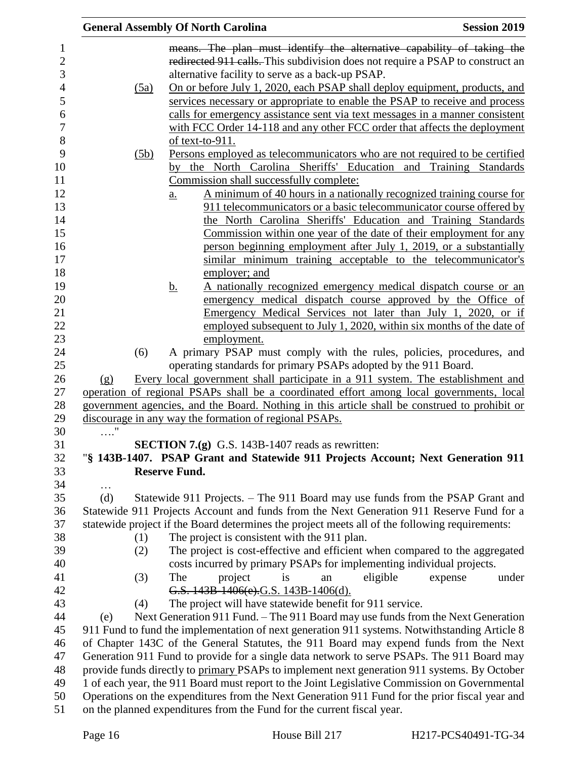|                |            | <b>General Assembly Of North Carolina</b>                                                          | <b>Session 2019</b> |
|----------------|------------|----------------------------------------------------------------------------------------------------|---------------------|
| $\mathbf{1}$   |            | means. The plan must identify the alternative capability of taking the                             |                     |
| $\sqrt{2}$     |            | redirected 911 calls. This subdivision does not require a PSAP to construct an                     |                     |
| 3              |            | alternative facility to serve as a back-up PSAP.                                                   |                     |
| $\overline{4}$ | (5a)       | On or before July 1, 2020, each PSAP shall deploy equipment, products, and                         |                     |
| 5              |            | services necessary or appropriate to enable the PSAP to receive and process                        |                     |
| 6              |            | calls for emergency assistance sent via text messages in a manner consistent                       |                     |
| $\overline{7}$ |            | with FCC Order 14-118 and any other FCC order that affects the deployment                          |                     |
| 8              |            | of text-to-911.                                                                                    |                     |
| 9              | (5b)       | Persons employed as telecommunicators who are not required to be certified                         |                     |
| 10             |            | by the North Carolina Sheriffs' Education and Training Standards                                   |                     |
| 11             |            | Commission shall successfully complete:                                                            |                     |
| 12             |            | A minimum of 40 hours in a nationally recognized training course for<br>$\underline{\mathbf{a}}$ . |                     |
| 13             |            | 911 telecommunicators or a basic telecommunicator course offered by                                |                     |
| 14             |            | the North Carolina Sheriffs' Education and Training Standards                                      |                     |
| 15             |            | Commission within one year of the date of their employment for any                                 |                     |
| 16             |            | person beginning employment after July 1, 2019, or a substantially                                 |                     |
| 17             |            | similar minimum training acceptable to the telecommunicator's                                      |                     |
| 18             |            | employer; and                                                                                      |                     |
| 19             |            | <u>b.</u><br><u>A nationally recognized emergency medical dispatch course or an</u>                |                     |
| 20             |            | emergency medical dispatch course approved by the Office of                                        |                     |
| 21             |            | Emergency Medical Services not later than July 1, 2020, or if                                      |                     |
| 22             |            | employed subsequent to July 1, 2020, within six months of the date of                              |                     |
| 23             |            | employment.                                                                                        |                     |
| 24             | (6)        | A primary PSAP must comply with the rules, policies, procedures, and                               |                     |
| 25             |            | operating standards for primary PSAPs adopted by the 911 Board.                                    |                     |
| 26             | (g)        | Every local government shall participate in a 911 system. The establishment and                    |                     |
| $27\,$         |            | operation of regional PSAPs shall be a coordinated effort among local governments, local           |                     |
| 28             |            | government agencies, and the Board. Nothing in this article shall be construed to prohibit or      |                     |
| 29             |            | discourage in any way the formation of regional PSAPs.                                             |                     |
| 30             | $\ldots$ " |                                                                                                    |                     |
| 31             |            | SECTION 7.(g) G.S. 143B-1407 reads as rewritten:                                                   |                     |
| 32             |            | "§ 143B-1407. PSAP Grant and Statewide 911 Projects Account; Next Generation 911                   |                     |
| 33             |            | <b>Reserve Fund.</b>                                                                               |                     |
| 34             | $\cdots$   |                                                                                                    |                     |
| 35             | (d)        | Statewide 911 Projects. – The 911 Board may use funds from the PSAP Grant and                      |                     |
| 36             |            | Statewide 911 Projects Account and funds from the Next Generation 911 Reserve Fund for a           |                     |
| 37             |            | statewide project if the Board determines the project meets all of the following requirements:     |                     |
| 38             | (1)        | The project is consistent with the 911 plan.                                                       |                     |
| 39             | (2)        | The project is cost-effective and efficient when compared to the aggregated                        |                     |
| 40             |            | costs incurred by primary PSAPs for implementing individual projects.                              |                     |
| 41             | (3)        | The<br>eligible<br>project<br>is<br>an                                                             | expense<br>under    |
| 42             |            | G.S. 143B 1406(e).G.S. 143B - 1406(d).                                                             |                     |
| 43             | (4)        | The project will have statewide benefit for 911 service.                                           |                     |
| 44             | (e)        | Next Generation 911 Fund. – The 911 Board may use funds from the Next Generation                   |                     |
| 45             |            | 911 Fund to fund the implementation of next generation 911 systems. Notwithstanding Article 8      |                     |
| 46             |            | of Chapter 143C of the General Statutes, the 911 Board may expend funds from the Next              |                     |
| 47             |            | Generation 911 Fund to provide for a single data network to serve PSAPs. The 911 Board may         |                     |
| 48             |            | provide funds directly to primary PSAPs to implement next generation 911 systems. By October       |                     |
| 49             |            | 1 of each year, the 911 Board must report to the Joint Legislative Commission on Governmental      |                     |
| 50             |            | Operations on the expenditures from the Next Generation 911 Fund for the prior fiscal year and     |                     |
| 51             |            | on the planned expenditures from the Fund for the current fiscal year.                             |                     |
|                |            |                                                                                                    |                     |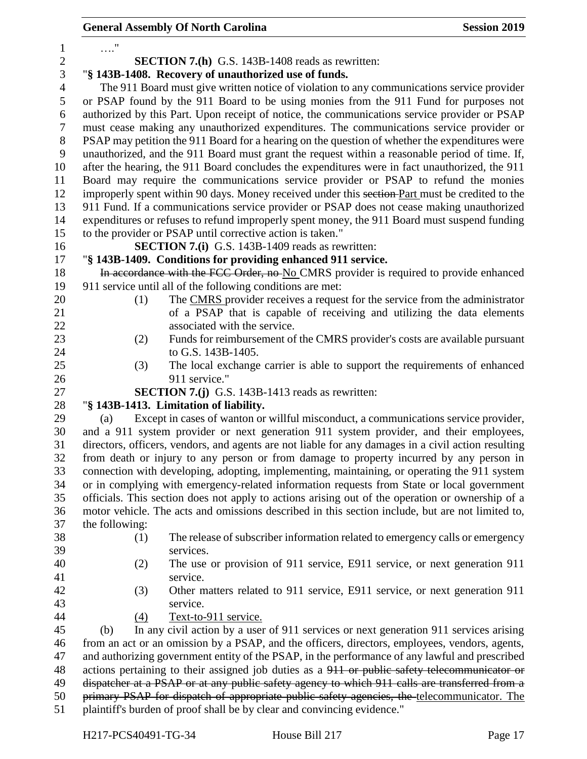|                |                                                                                                                                                                       |                                                      | <b>General Assembly Of North Carolina</b>                                                           | <b>Session 2019</b> |  |  |  |  |
|----------------|-----------------------------------------------------------------------------------------------------------------------------------------------------------------------|------------------------------------------------------|-----------------------------------------------------------------------------------------------------|---------------------|--|--|--|--|
| $\mathbf{1}$   | $\ldots$ "                                                                                                                                                            |                                                      |                                                                                                     |                     |  |  |  |  |
| $\overline{2}$ |                                                                                                                                                                       |                                                      | <b>SECTION 7.(h)</b> G.S. 143B-1408 reads as rewritten:                                             |                     |  |  |  |  |
| 3              |                                                                                                                                                                       | "§ 143B-1408. Recovery of unauthorized use of funds. |                                                                                                     |                     |  |  |  |  |
| $\overline{4}$ | The 911 Board must give written notice of violation to any communications service provider                                                                            |                                                      |                                                                                                     |                     |  |  |  |  |
| 5              |                                                                                                                                                                       |                                                      | or PSAP found by the 911 Board to be using monies from the 911 Fund for purposes not                |                     |  |  |  |  |
| 6              |                                                                                                                                                                       |                                                      | authorized by this Part. Upon receipt of notice, the communications service provider or PSAP        |                     |  |  |  |  |
| $\tau$         |                                                                                                                                                                       |                                                      | must cease making any unauthorized expenditures. The communications service provider or             |                     |  |  |  |  |
| 8              |                                                                                                                                                                       |                                                      | PSAP may petition the 911 Board for a hearing on the question of whether the expenditures were      |                     |  |  |  |  |
| 9              |                                                                                                                                                                       |                                                      | unauthorized, and the 911 Board must grant the request within a reasonable period of time. If,      |                     |  |  |  |  |
| 10             |                                                                                                                                                                       |                                                      | after the hearing, the 911 Board concludes the expenditures were in fact unauthorized, the 911      |                     |  |  |  |  |
| 11             | Board may require the communications service provider or PSAP to refund the monies                                                                                    |                                                      |                                                                                                     |                     |  |  |  |  |
| 12             |                                                                                                                                                                       |                                                      | improperly spent within 90 days. Money received under this section Part must be credited to the     |                     |  |  |  |  |
| 13             |                                                                                                                                                                       |                                                      | 911 Fund. If a communications service provider or PSAP does not cease making unauthorized           |                     |  |  |  |  |
| 14             |                                                                                                                                                                       |                                                      | expenditures or refuses to refund improperly spent money, the 911 Board must suspend funding        |                     |  |  |  |  |
| 15             |                                                                                                                                                                       |                                                      | to the provider or PSAP until corrective action is taken."                                          |                     |  |  |  |  |
| 16             |                                                                                                                                                                       |                                                      | <b>SECTION 7.(i)</b> G.S. 143B-1409 reads as rewritten:                                             |                     |  |  |  |  |
| 17             |                                                                                                                                                                       |                                                      | "§ 143B-1409. Conditions for providing enhanced 911 service.                                        |                     |  |  |  |  |
| 18             |                                                                                                                                                                       |                                                      | In accordance with the FCC Order, no No CMRS provider is required to provide enhanced               |                     |  |  |  |  |
| 19             |                                                                                                                                                                       |                                                      | 911 service until all of the following conditions are met:                                          |                     |  |  |  |  |
| 20             |                                                                                                                                                                       | (1)                                                  | The CMRS provider receives a request for the service from the administrator                         |                     |  |  |  |  |
| 21             |                                                                                                                                                                       |                                                      | of a PSAP that is capable of receiving and utilizing the data elements                              |                     |  |  |  |  |
| 22             |                                                                                                                                                                       |                                                      | associated with the service.                                                                        |                     |  |  |  |  |
| 23             |                                                                                                                                                                       | (2)                                                  | Funds for reimbursement of the CMRS provider's costs are available pursuant                         |                     |  |  |  |  |
| 24             |                                                                                                                                                                       |                                                      | to G.S. 143B-1405.                                                                                  |                     |  |  |  |  |
| $25\,$         |                                                                                                                                                                       | (3)                                                  | The local exchange carrier is able to support the requirements of enhanced                          |                     |  |  |  |  |
| 26             |                                                                                                                                                                       |                                                      | 911 service."                                                                                       |                     |  |  |  |  |
| 27<br>28       |                                                                                                                                                                       |                                                      | <b>SECTION 7.(j)</b> G.S. 143B-1413 reads as rewritten:<br>"§ 143B-1413. Limitation of liability.   |                     |  |  |  |  |
| 29             | (a)                                                                                                                                                                   |                                                      | Except in cases of wanton or willful misconduct, a communications service provider,                 |                     |  |  |  |  |
| 30             |                                                                                                                                                                       |                                                      | and a 911 system provider or next generation 911 system provider, and their employees,              |                     |  |  |  |  |
| 31             |                                                                                                                                                                       |                                                      | directors, officers, vendors, and agents are not liable for any damages in a civil action resulting |                     |  |  |  |  |
| 32             |                                                                                                                                                                       |                                                      | from death or injury to any person or from damage to property incurred by any person in             |                     |  |  |  |  |
| 33             |                                                                                                                                                                       |                                                      | connection with developing, adopting, implementing, maintaining, or operating the 911 system        |                     |  |  |  |  |
| 34             |                                                                                                                                                                       |                                                      | or in complying with emergency-related information requests from State or local government          |                     |  |  |  |  |
| 35             |                                                                                                                                                                       |                                                      | officials. This section does not apply to actions arising out of the operation or ownership of a    |                     |  |  |  |  |
| 36             |                                                                                                                                                                       |                                                      | motor vehicle. The acts and omissions described in this section include, but are not limited to,    |                     |  |  |  |  |
| 37             | the following:                                                                                                                                                        |                                                      |                                                                                                     |                     |  |  |  |  |
| 38             |                                                                                                                                                                       | (1)                                                  | The release of subscriber information related to emergency calls or emergency                       |                     |  |  |  |  |
| 39             |                                                                                                                                                                       |                                                      | services.                                                                                           |                     |  |  |  |  |
| 40             |                                                                                                                                                                       | (2)                                                  | The use or provision of 911 service, E911 service, or next generation 911                           |                     |  |  |  |  |
| 41             |                                                                                                                                                                       |                                                      | service.                                                                                            |                     |  |  |  |  |
| 42             |                                                                                                                                                                       | (3)                                                  | Other matters related to 911 service, E911 service, or next generation 911                          |                     |  |  |  |  |
| 43             |                                                                                                                                                                       |                                                      | service.                                                                                            |                     |  |  |  |  |
| 44             |                                                                                                                                                                       | (4)                                                  | Text-to-911 service.                                                                                |                     |  |  |  |  |
| 45             | (b)                                                                                                                                                                   |                                                      | In any civil action by a user of 911 services or next generation 911 services arising               |                     |  |  |  |  |
| 46             | from an act or an omission by a PSAP, and the officers, directors, employees, vendors, agents,                                                                        |                                                      |                                                                                                     |                     |  |  |  |  |
| 47             |                                                                                                                                                                       |                                                      | and authorizing government entity of the PSAP, in the performance of any lawful and prescribed      |                     |  |  |  |  |
| 48             |                                                                                                                                                                       |                                                      | actions pertaining to their assigned job duties as a 911 or public safety telecommunicator or       |                     |  |  |  |  |
| 49             |                                                                                                                                                                       |                                                      | dispatcher at a PSAP or at any public safety agency to which 911 calls are transferred from a       |                     |  |  |  |  |
| 50<br>51       | primary PSAP for dispatch of appropriate public safety agencies, the telecommunicator. The<br>plaintiff's burden of proof shall be by clear and convincing evidence." |                                                      |                                                                                                     |                     |  |  |  |  |
|                |                                                                                                                                                                       |                                                      |                                                                                                     |                     |  |  |  |  |